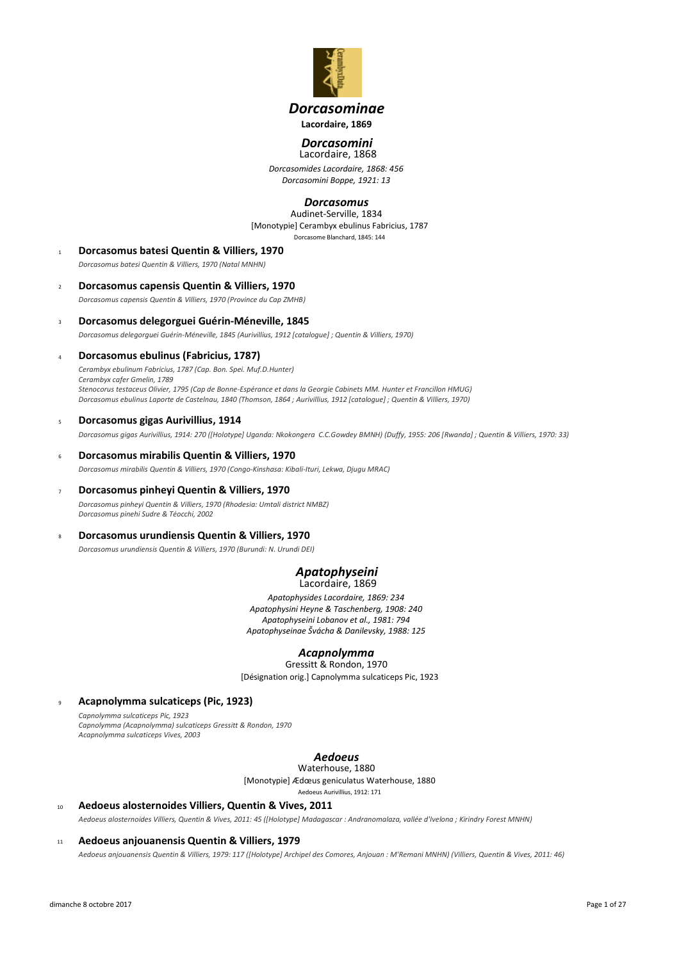

# *Dorcasominae* **Lacordaire, 1869**

# *Dorcasomini*

*Dorcasomides Lacordaire, 1868: 456 Dorcasomini Boppe, 1921: 13* Lacordaire, 1868

# *Dorcasomus*

[Monotypie] Cerambyx ebulinus Fabricius, 1787 Dorcasome Blanchard, 1845: 144 Audinet-Serville, 1834

- <sup>1</sup> **Dorcasomus batesi Quentin & Villiers, 1970** *Dorcasomus batesi Quentin & Villiers, 1970 (Natal MNHN)*
- <sup>2</sup> **Dorcasomus capensis Quentin & Villiers, 1970** *Dorcasomus capensis Quentin & Villiers, 1970 (Province du Cap ZMHB)*
- <sup>3</sup> **Dorcasomus delegorguei Guérin-Méneville, 1845** *Dorcasomus delegorguei Guérin-Méneville, 1845 (Aurivillius, 1912 [catalogue] ; Quentin & Villiers, 1970)*
- <sup>4</sup> **Dorcasomus ebulinus (Fabricius, 1787)** *Cerambyx ebulinum Fabricius, 1787 (Cap. Bon. Spei. Muf.D.Hunter) Cerambyx cafer Gmelin, 1789 Stenocorus testaceus Olivier, 1795 (Cap de Bonne-Espérance et dans la Georgie Cabinets MM. Hunter et Francillon HMUG) Dorcasomus ebulinus Laporte de Castelnau, 1840 (Thomson, 1864 ; Aurivillius, 1912 [catalogue] ; Quentin & Villiers, 1970)*
- <sup>5</sup> **Dorcasomus gigas Aurivillius, 1914** *Dorcasomus gigas Aurivillius, 1914: 270 ([Holotype] Uganda: Nkokongera C.C.Gowdey BMNH) (Duffy, 1955: 206 [Rwanda] ; Quentin & Villiers, 1970: 33)*
- <sup>6</sup> **Dorcasomus mirabilis Quentin & Villiers, 1970** *Dorcasomus mirabilis Quentin & Villiers, 1970 (Congo-Kinshasa: Kibali-Ituri, Lekwa, Djugu MRAC)*
- <sup>7</sup> **Dorcasomus pinheyi Quentin & Villiers, 1970** *Dorcasomus pinheyi Quentin & Villiers, 1970 (Rhodesia: Umtali district NMBZ) Dorcasomus pinehi Sudre & Téocchi, 2002*
- <sup>8</sup> **Dorcasomus urundiensis Quentin & Villiers, 1970**

*Dorcasomus urundiensis Quentin & Villiers, 1970 (Burundi: N. Urundi DEI)*

## *Apatophyseini* Lacordaire, 1869

*Apatophysides Lacordaire, 1869: 234 Apatophysini Heyne & Taschenberg, 1908: 240 Apatophyseini Lobanov et al., 1981: 794 Apatophyseinae Švácha & Danilevsky, 1988: 125*

# *Acapnolymma*

[Désignation orig.] Capnolymma sulcaticeps Pic, 1923 Gressitt & Rondon, 1970

<sup>9</sup> **Acapnolymma sulcaticeps (Pic, 1923)**

*Capnolymma sulcaticeps Pic, 1923 Capnolymma (Acapnolymma) sulcaticeps Gressitt & Rondon, 1970 Acapnolymma sulcaticeps Vives, 2003*

# *Aedoeus*

[Monotypie] Ædœus geniculatus Waterhouse, 1880 Waterhouse, 1880

Aedoeus Aurivillius, 1912: 171

<sup>10</sup> **Aedoeus alosternoides Villiers, Quentin & Vives, 2011** *Aedoeus alosternoides Villiers, Quentin & Vives, 2011: 45 ([Holotype] Madagascar : Andranomalaza, vallée d'Ivelona ; Kirindry Forest MNHN)*

# <sup>11</sup> **Aedoeus anjouanensis Quentin & Villiers, 1979**

*Aedoeus anjouanensis Quentin & Villiers, 1979: 117 ([Holotype] Archipel des Comores, Anjouan : M'Remani MNHN) (Villiers, Quentin & Vives, 2011: 46)*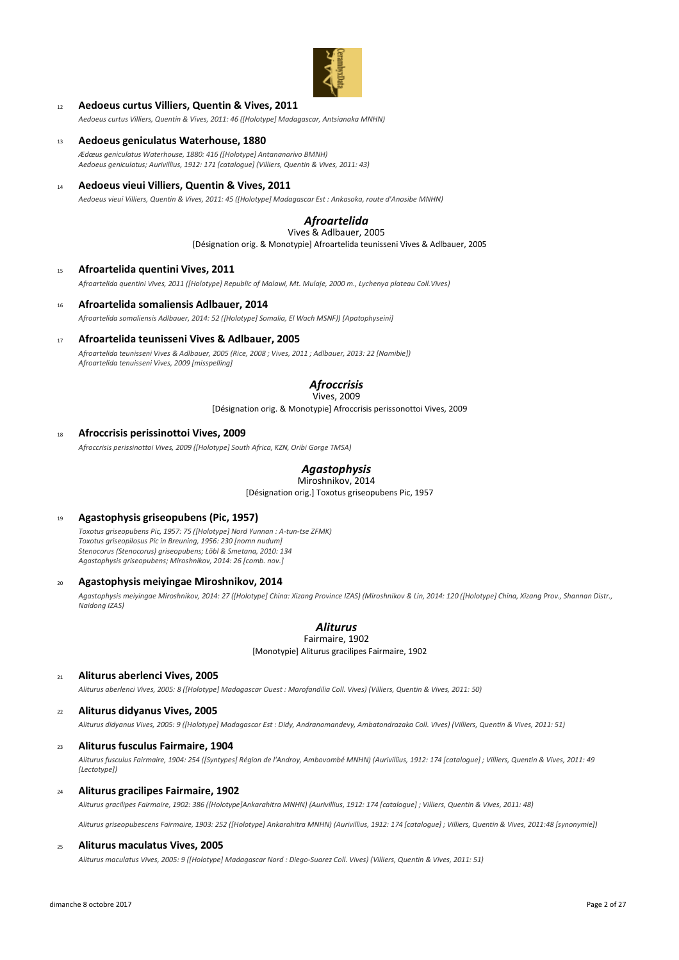

# <sup>12</sup> **Aedoeus curtus Villiers, Quentin & Vives, 2011**

*Aedoeus curtus Villiers, Quentin & Vives, 2011: 46 ([Holotype] Madagascar, Antsianaka MNHN)*

<sup>13</sup> **Aedoeus geniculatus Waterhouse, 1880**

*Ædœus geniculatus Waterhouse, 1880: 416 ([Holotype] Antananarivo BMNH) Aedoeus geniculatus; Aurivillius, 1912: 171 [catalogue] (Villiers, Quentin & Vives, 2011: 43)*

<sup>14</sup> **Aedoeus vieui Villiers, Quentin & Vives, 2011**

*Aedoeus vieui Villiers, Quentin & Vives, 2011: 45 ([Holotype] Madagascar Est : Ankasoka, route d'Anosibe MNHN)*

# *Afroartelida* Vives & Adlbauer, 2005

[Désignation orig. & Monotypie] Afroartelida teunisseni Vives & Adlbauer, 2005

#### <sup>15</sup> **Afroartelida quentini Vives, 2011**

*Afroartelida quentini Vives, 2011 ([Holotype] Republic of Malawi, Mt. Mulaje, 2000 m., Lychenya plateau Coll.Vives)*

<sup>16</sup> **Afroartelida somaliensis Adlbauer, 2014**

*Afroartelida somaliensis Adlbauer, 2014: 52 ([Holotype] Somalia, El Wach MSNF)) [Apatophyseini]*

<sup>17</sup> **Afroartelida teunisseni Vives & Adlbauer, 2005**

*Afroartelida teunisseni Vives & Adlbauer, 2005 (Rice, 2008 ; Vives, 2011 ; Adlbauer, 2013: 22 [Namibie]) Afroartelida tenuisseni Vives, 2009 [misspelling]*

#### *Afroccrisis* Vives, 2009

[Désignation orig. & Monotypie] Afroccrisis perissonottoi Vives, 2009

## <sup>18</sup> **Afroccrisis perissinottoi Vives, 2009**

*Afroccrisis perissinottoi Vives, 2009 ([Holotype] South Africa, KZN, Oribi Gorge TMSA)*

# *Agastophysis*

[Désignation orig.] Toxotus griseopubens Pic, 1957 Miroshnikov, 2014

# <sup>19</sup> **Agastophysis griseopubens (Pic, 1957)**

*Toxotus griseopubens Pic, 1957: 75 ([Holotype] Nord Yunnan : A-tun-tse ZFMK) Toxotus griseopilosus Pic in Breuning, 1956: 230 [nomn nudum] Stenocorus (Stenocorus) griseopubens; Löbl & Smetana, 2010: 134 Agastophysis griseopubens; Miroshnikov, 2014: 26 [comb. nov.]*

# <sup>20</sup> **Agastophysis meiyingae Miroshnikov, 2014**

*Agastophysis meiyingae Miroshnikov, 2014: 27 ([Holotype] China: Xizang Province IZAS) (Miroshnikov & Lin, 2014: 120 ([Holotype] China, Xizang Prov., Shannan Distr., Naidong IZAS)*

# *Aliturus*

[Monotypie] Aliturus gracilipes Fairmaire, 1902 Fairmaire, 1902

<sup>21</sup> **Aliturus aberlenci Vives, 2005**

*Aliturus aberlenci Vives, 2005: 8 ([Holotype] Madagascar Ouest : Marofandilia Coll. Vives) (Villiers, Quentin & Vives, 2011: 50)*

#### <sup>22</sup> **Aliturus didyanus Vives, 2005**

*Aliturus didyanus Vives, 2005: 9 ([Holotype] Madagascar Est : Didy, Andranomandevy, Ambatondrazaka Coll. Vives) (Villiers, Quentin & Vives, 2011: 51)*

# <sup>23</sup> **Aliturus fusculus Fairmaire, 1904**

*Aliturus fusculus Fairmaire, 1904: 254 ([Syntypes] Région de l'Androy, Ambovombé MNHN) (Aurivillius, 1912: 174 [catalogue] ; Villiers, Quentin & Vives, 2011: 49 [Lectotype])*

#### <sup>24</sup> **Aliturus gracilipes Fairmaire, 1902**

*Aliturus gracilipes Fairmaire, 1902: 386 ([Holotype]Ankarahitra MNHN) (Aurivillius, 1912: 174 [catalogue] ; Villiers, Quentin & Vives, 2011: 48)*

*Aliturus griseopubescens Fairmaire, 1903: 252 ([Holotype] Ankarahitra MNHN) (Aurivillius, 1912: 174 [catalogue] ; Villiers, Quentin & Vives, 2011:48 [synonymie])*

## <sup>25</sup> **Aliturus maculatus Vives, 2005**

*Aliturus maculatus Vives, 2005: 9 ([Holotype] Madagascar Nord : Diego-Suarez Coll. Vives) (Villiers, Quentin & Vives, 2011: 51)*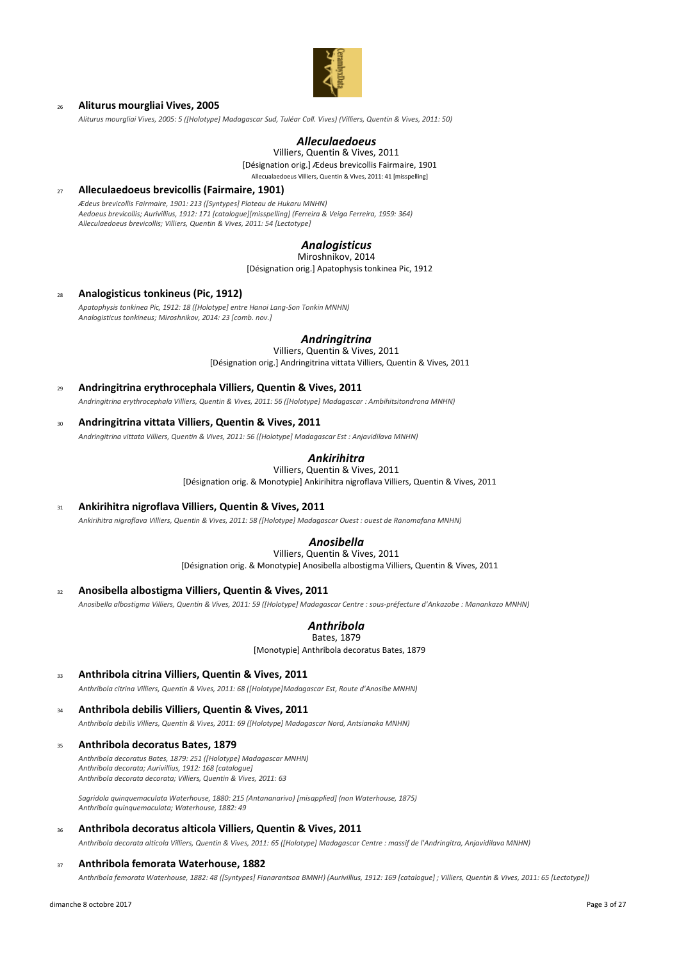

# <sup>26</sup> **Aliturus mourgliai Vives, 2005**

*Aliturus mourgliai Vives, 2005: 5 ([Holotype] Madagascar Sud, Tuléar Coll. Vives) (Villiers, Quentin & Vives, 2011: 50)*

# *Alleculaedoeus*

[Désignation orig.] Ædeus brevicollis Fairmaire, 1901 Allecualaedoeus Villiers, Quentin & Vives, 2011: 41 [misspelling] Villiers, Quentin & Vives, 2011

<sup>27</sup> **Alleculaedoeus brevicollis (Fairmaire, 1901)**

*Ædeus brevicollis Fairmaire, 1901: 213 ([Syntypes] Plateau de Hukaru MNHN) Aedoeus brevicollis; Aurivillius, 1912: 171 [catalogue][misspelling] (Ferreira & Veiga Ferreira, 1959: 364) Alleculaedoeus brevicollis; Villiers, Quentin & Vives, 2011: 54 [Lectotype]*

# *Analogisticus*

[Désignation orig.] Apatophysis tonkinea Pic, 1912 Miroshnikov, 2014

# <sup>28</sup> **Analogisticus tonkineus (Pic, 1912)**

*Apatophysis tonkinea Pic, 1912: 18 ([Holotype] entre Hanoi Lang-Son Tonkin MNHN) Analogisticus tonkineus; Miroshnikov, 2014: 23 [comb. nov.]*

# *Andringitrina*

[Désignation orig.] Andringitrina vittata Villiers, Quentin & Vives, 2011 Villiers, Quentin & Vives, 2011

- <sup>29</sup> **Andringitrina erythrocephala Villiers, Quentin & Vives, 2011** *Andringitrina erythrocephala Villiers, Quentin & Vives, 2011: 56 ([Holotype] Madagascar : Ambihitsitondrona MNHN)*
- <sup>30</sup> **Andringitrina vittata Villiers, Quentin & Vives, 2011**

*Andringitrina vittata Villiers, Quentin & Vives, 2011: 56 ([Holotype] Madagascar Est : Anjavidilava MNHN)*

# *Ankirihitra*

[Désignation orig. & Monotypie] Ankirihitra nigroflava Villiers, Quentin & Vives, 2011 Villiers, Quentin & Vives, 2011

# <sup>31</sup> **Ankirihitra nigroflava Villiers, Quentin & Vives, 2011**

*Ankirihitra nigroflava Villiers, Quentin & Vives, 2011: 58 ([Holotype] Madagascar Ouest : ouest de Ranomafana MNHN)*

# *Anosibella*

[Désignation orig. & Monotypie] Anosibella albostigma Villiers, Quentin & Vives, 2011 Villiers, Quentin & Vives, 2011

<sup>32</sup> **Anosibella albostigma Villiers, Quentin & Vives, 2011**

*Anosibella albostigma Villiers, Quentin & Vives, 2011: 59 ([Holotype] Madagascar Centre : sous-préfecture d'Ankazobe : Manankazo MNHN)*

# *Anthribola*

[Monotypie] Anthribola decoratus Bates, 1879 Bates, 1879

<sup>33</sup> **Anthribola citrina Villiers, Quentin & Vives, 2011**

*Anthribola citrina Villiers, Quentin & Vives, 2011: 68 ([Holotype]Madagascar Est, Route d'Anosibe MNHN)*

#### <sup>34</sup> **Anthribola debilis Villiers, Quentin & Vives, 2011**

*Anthribola debilis Villiers, Quentin & Vives, 2011: 69 ([Holotype] Madagascar Nord, Antsianaka MNHN)*

#### <sup>35</sup> **Anthribola decoratus Bates, 1879**

*Anthribola decoratus Bates, 1879: 251 ([Holotype] Madagascar MNHN) Anthribola decorata; Aurivillius, 1912: 168 [catalogue] Anthribola decorata decorata; Villiers, Quentin & Vives, 2011: 63*

*Sagridola quinquemaculata Waterhouse, 1880: 215 (Antananarivo) [misapplied] (non Waterhouse, 1875) Anthribola quinquemaculata; Waterhouse, 1882: 49*

# <sup>36</sup> **Anthribola decoratus alticola Villiers, Quentin & Vives, 2011**

*Anthribola decorata alticola Villiers, Quentin & Vives, 2011: 65 ([Holotype] Madagascar Centre : massif de l'Andringitra, Anjavidilava MNHN)*

#### <sup>37</sup> **Anthribola femorata Waterhouse, 1882**

*Anthribola femorata Waterhouse, 1882: 48 ([Syntypes] Fianarantsoa BMNH) (Aurivillius, 1912: 169 [catalogue] ; Villiers, Quentin & Vives, 2011: 65 [Lectotype])*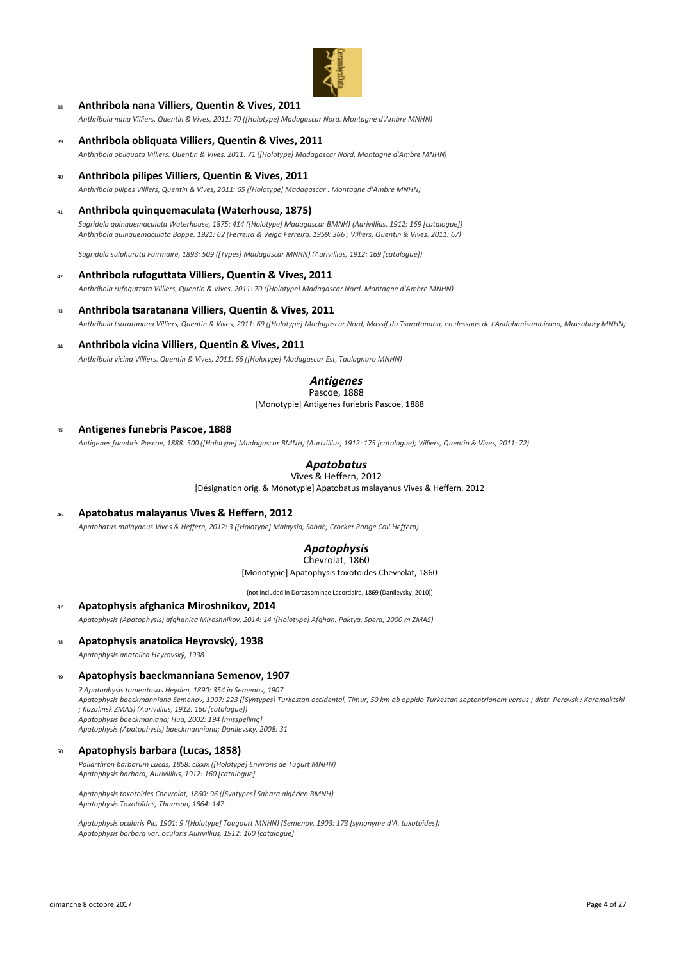

## <sup>38</sup> **Anthribola nana Villiers, Quentin & Vives, 2011**

*Anthribola nana Villiers, Quentin & Vives, 2011: 70 ([Holotype] Madagascar Nord, Montagne d'Ambre MNHN)*

- <sup>39</sup> **Anthribola obliquata Villiers, Quentin & Vives, 2011** *Anthribola obliquata Villiers, Quentin & Vives, 2011: 71 ([Holotype] Madagascar Nord, Montagne d'Ambre MNHN)*
- <sup>40</sup> **Anthribola pilipes Villiers, Quentin & Vives, 2011** *Anthribola pilipes Villiers, Quentin & Vives, 2011: 65 ([Holotype] Madagascar : Montagne d'Ambre MNHN)*
- <sup>41</sup> **Anthribola quinquemaculata (Waterhouse, 1875)**

*Sagridola quinquemaculata Waterhouse, 1875: 414 ([Holotype] Madagascar BMNH) (Aurivillius, 1912: 169 [catalogue]) Anthribola quinquemaculata Boppe, 1921: 62 (Ferreira & Veiga Ferreira, 1959: 366 ; Villiers, Quentin & Vives, 2011: 67)*

*Sagridola sulphurata Fairmaire, 1893: 509 ([Types] Madagascar MNHN) (Aurivillius, 1912: 169 [catalogue])*

#### <sup>42</sup> **Anthribola rufoguttata Villiers, Quentin & Vives, 2011**

*Anthribola rufoguttata Villiers, Quentin & Vives, 2011: 70 ([Holotype] Madagascar Nord, Montagne d'Ambre MNHN)*

# <sup>43</sup> **Anthribola tsaratanana Villiers, Quentin & Vives, 2011**

*Anthribola tsaratanana Villiers, Quentin & Vives, 2011: 69 ([Holotype] Madagascar Nord, Massif du Tsaratanana, en dessous de l'Andohanisambirano, Matsabory MNHN)*

## <sup>44</sup> **Anthribola vicina Villiers, Quentin & Vives, 2011**

*Anthribola vicina Villiers, Quentin & Vives, 2011: 66 ([Holotype] Madagascar Est, Taolagnaro MNHN)*

# *Antigenes*

[Monotypie] Antigenes funebris Pascoe, 1888 Pascoe, 1888

#### <sup>45</sup> **Antigenes funebris Pascoe, 1888**

*Antigenes funebris Pascoe, 1888: 500 ([Holotype] Madagascar BMNH) (Aurivillius, 1912: 175 [catalogue]; Villiers, Quentin & Vives, 2011: 72)*

# *Apatobatus*

Vives & Heffern, 2012

[Désignation orig. & Monotypie] Apatobatus malayanus Vives & Heffern, 2012

## <sup>46</sup> **Apatobatus malayanus Vives & Heffern, 2012**

*Apatobatus malayanus Vives & Heffern, 2012: 3 ([Holotype] Malaysia, Sabah, Crocker Range Coll.Heffern)*

#### *Apatophysis* Chevrolat, 1860

[Monotypie] Apatophysis toxotoides Chevrolat, 1860

(not included in Dorcasominae Lacordaire, 1869 (Danilevsky, 2010))

#### <sup>47</sup> **Apatophysis afghanica Miroshnikov, 2014**

*Apatophysis (Apatophysis) afghanica Miroshnikov, 2014: 14 ([Holotype] Afghan. Paktya, Spera, 2000 m ZMAS)*

## <sup>48</sup> **Apatophysis anatolica Heyrovský, 1938**

*Apatophysis anatolica Heyrovský, 1938*

#### <sup>49</sup> **Apatophysis baeckmanniana Semenov, 1907**

*? Apatophysis tomentosus Heyden, 1890: 354 in Semenov, 1907 Apatophysis baeckmanniana Semenov, 1907: 223 ([Syntypes] Turkestan occidental, Timur, 50 km ab oppido Turkestan septentrionem versus ; distr. Perovsk : Karamaktshi ; Kazalinsk ZMAS) (Aurivillius, 1912: 160 [catalogue])*

*Apatophysis baeckmaniana; Hua, 2002: 194 [misspelling]*

*Apatophysis (Apatophysis) baeckmanniana; Danilevsky, 2008: 31*

#### <sup>50</sup> **Apatophysis barbara (Lucas, 1858)**

*Poliarthron barbarum Lucas, 1858: clxxix ([Holotype] Environs de Tugurt MNHN) Apatophysis barbara; Aurivillius, 1912: 160 [catalogue]*

*Apatophysis toxotoides Chevrolat, 1860: 96 ([Syntypes] Sahara algérien BMNH) Apatophysis Toxotoïdes; Thomson, 1864: 147*

*Apatophysis ocularis Pic, 1901: 9 ([Holotype] Tougourt MNHN) (Semenov, 1903: 173 [synonyme d'A. toxotoides]) Apatophysis barbara var. ocularis Aurivillius, 1912: 160 [catalogue]*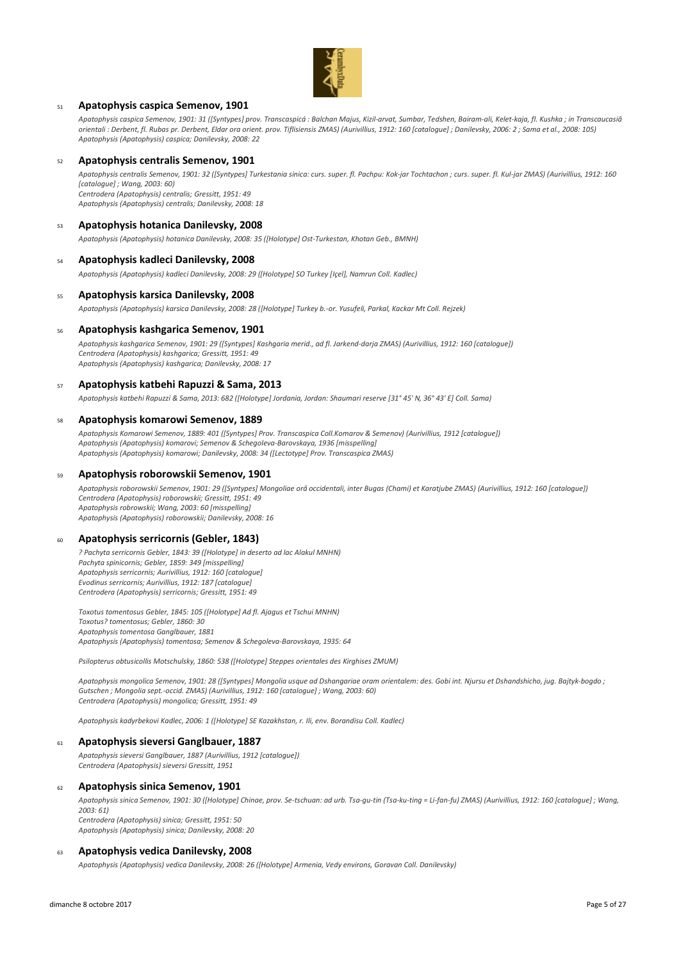

## <sup>51</sup> **Apatophysis caspica Semenov, 1901**

*Apatophysis caspica Semenov, 1901: 31 ([Syntypes] prov. Transcaspicá : Balchan Majus, Kizil-arvat, Sumbar, Tedshen, Bairam-ali, Kelet-kaja, fl. Kushka ; in Transcaucasiâ orientali : Derbent, fl. Rubas pr. Derbent, Eldar ora orient. prov. Tiflisiensis ZMAS) (Aurivillius, 1912: 160 [catalogue] ; Danilevsky, 2006: 2 ; Sama et al., 2008: 105) Apatophysis (Apatophysis) caspica; Danilevsky, 2008: 22*

#### <sup>52</sup> **Apatophysis centralis Semenov, 1901**

*Apatophysis centralis Semenov, 1901: 32 ([Syntypes] Turkestania sinica: curs. super. fl. Pachpu: Kok-jar Tochtachon ; curs. super. fl. Kul-jar ZMAS) (Aurivillius, 1912: 160 [catalogue] ; Wang, 2003: 60) Centrodera (Apatophysis) centralis; Gressitt, 1951: 49 Apatophysis (Apatophysis) centralis; Danilevsky, 2008: 18*

#### <sup>53</sup> **Apatophysis hotanica Danilevsky, 2008**

*Apatophysis (Apatophysis) hotanica Danilevsky, 2008: 35 ([Holotype] Ost-Turkestan, Khotan Geb., BMNH)*

#### <sup>54</sup> **Apatophysis kadleci Danilevsky, 2008**

*Apatophysis (Apatophysis) kadleci Danilevsky, 2008: 29 ([Holotype] SO Turkey [Içel], Namrun Coll. Kadlec)*

### <sup>55</sup> **Apatophysis karsica Danilevsky, 2008**

*Apatophysis (Apatophysis) karsica Danilevsky, 2008: 28 ([Holotype] Turkey b.-or. Yusufeli, Parkal, Kackar Mt Coll. Rejzek)*

## <sup>56</sup> **Apatophysis kashgarica Semenov, 1901**

*Apatophysis kashgarica Semenov, 1901: 29 ([Syntypes] Kashgaria merid., ad fl. Jarkend-darja ZMAS) (Aurivillius, 1912: 160 [catalogue]) Centrodera (Apatophysis) kashgarica; Gressitt, 1951: 49 Apatophysis (Apatophysis) kashgarica; Danilevsky, 2008: 17*

### <sup>57</sup> **Apatophysis katbehi Rapuzzi & Sama, 2013**

*Apatophysis katbehi Rapuzzi & Sama, 2013: 682 ([Holotype] Jordania, Jordan: Shaumari reserve [31° 45' N, 36° 43' E] Coll. Sama)*

# <sup>58</sup> **Apatophysis komarowi Semenov, 1889**

*Apatophysis Komarowi Semenov, 1889: 401 ([Syntypes] Prov. Transcaspica Coll.Komarov & Semenov) (Aurivillius, 1912 [catalogue]) Apatophysis (Apatophysis) komarovi; Semenov & Schegoleva-Barovskaya, 1936 [misspelling] Apatophysis (Apatophysis) komarowi; Danilevsky, 2008: 34 ([Lectotype] Prov. Transcaspica ZMAS)*

#### <sup>59</sup> **Apatophysis roborowskii Semenov, 1901**

*Apatophysis roborowskii Semenov, 1901: 29 ([Syntypes] Mongoliae orâ occidentali, inter Bugas (Chami) et Karatjube ZMAS) (Aurivillius, 1912: 160 [catalogue]) Centrodera (Apatophysis) roborowskii; Gressitt, 1951: 49 Apatophysis robrowskii; Wang, 2003: 60 [misspelling] Apatophysis (Apatophysis) roborowskii; Danilevsky, 2008: 16*

#### <sup>60</sup> **Apatophysis serricornis (Gebler, 1843)**

*? Pachyta serricornis Gebler, 1843: 39 ([Holotype] in deserto ad lac Alakul MNHN) Pachyta spinicornis; Gebler, 1859: 349 [misspelling] Apatophysis serricornis; Aurivillius, 1912: 160 [catalogue] Evodinus serricornis; Aurivillius, 1912: 187 [catalogue] Centrodera (Apatophysis) serricornis; Gressitt, 1951: 49*

*Toxotus tomentosus Gebler, 1845: 105 ([Holotype] Ad fl. Ajagus et Tschui MNHN) Toxotus? tomentosus; Gebler, 1860: 30 Apatophysis tomentosa Ganglbauer, 1881 Apatophysis (Apatophysis) tomentosa; Semenov & Schegoleva-Barovskaya, 1935: 64*

*Psilopterus obtusicollis Motschulsky, 1860: 538 ([Holotype] Steppes orientales des Kirghises ZMUM)*

*Apatophysis mongolica Semenov, 1901: 28 ([Syntypes] Mongolia usque ad Dshangariae oram orientalem: des. Gobi int. Njursu et Dshandshicho, jug. Bajtyk-bogdo ; Gutschen ; Mongolia sept.-occid. ZMAS) (Aurivillius, 1912: 160 [catalogue] ; Wang, 2003: 60) Centrodera (Apatophysis) mongolica; Gressitt, 1951: 49*

*Apatophysis kadyrbekovi Kadlec, 2006: 1 ([Holotype] SE Kazakhstan, r. Ili, env. Borandisu Coll. Kadlec)*

#### <sup>61</sup> **Apatophysis sieversi Ganglbauer, 1887**

*Apatophysis sieversi Ganglbauer, 1887 (Aurivillius, 1912 [catalogue]) Centrodera (Apatophysis) sieversi Gressitt, 1951*

#### <sup>62</sup> **Apatophysis sinica Semenov, 1901**

*Apatophysis sinica Semenov, 1901: 30 ([Holotype] Chinae, prov. Se-tschuan: ad urb. Tsa-gu-tin (Tsa-ku-ting = Li-fan-fu) ZMAS) (Aurivillius, 1912: 160 [catalogue] ; Wang, 2003: 61)*

*Centrodera (Apatophysis) sinica; Gressitt, 1951: 50 Apatophysis (Apatophysis) sinica; Danilevsky, 2008: 20*

#### <sup>63</sup> **Apatophysis vedica Danilevsky, 2008**

*Apatophysis (Apatophysis) vedica Danilevsky, 2008: 26 ([Holotype] Armenia, Vedy environs, Goravan Coll. Danilevsky)*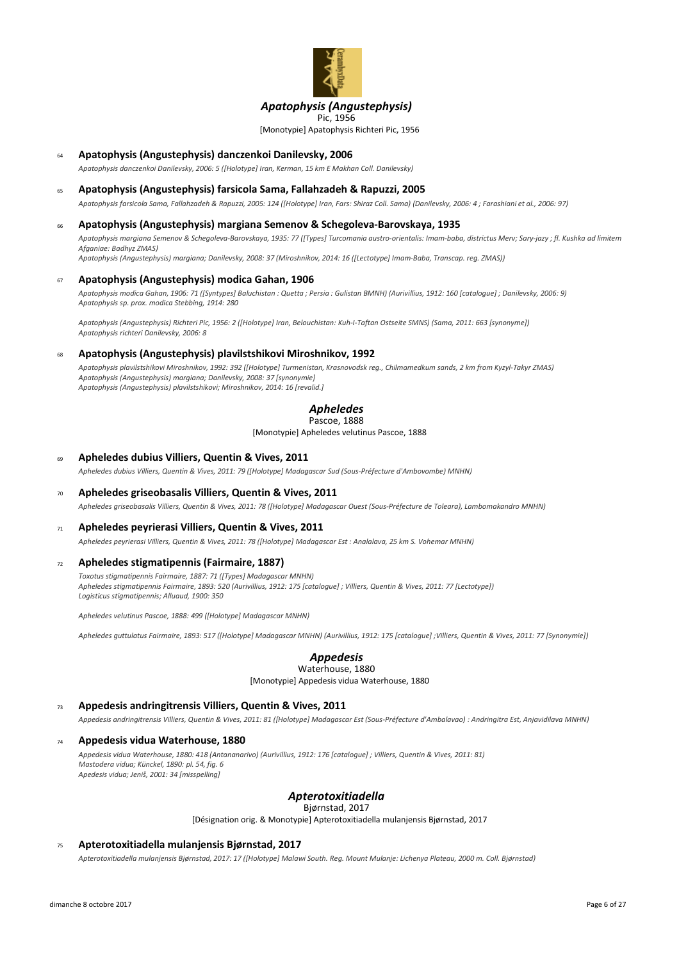

# *Apatophysis (Angustephysis)*

[Monotypie] Apatophysis Richteri Pic, 1956 Pic, 1956

## <sup>64</sup> **Apatophysis (Angustephysis) danczenkoi Danilevsky, 2006**

*Apatophysis danczenkoi Danilevsky, 2006: 5 ([Holotype] Iran, Kerman, 15 km E Makhan Coll. Danilevsky)*

# <sup>65</sup> **Apatophysis (Angustephysis) farsicola Sama, Fallahzadeh & Rapuzzi, 2005**

*Apatophysis farsicola Sama, Fallahzadeh & Rapuzzi, 2005: 124 ([Holotype] Iran, Fars: Shiraz Coll. Sama) (Danilevsky, 2006: 4 ; Farashiani et al., 2006: 97)*

### <sup>66</sup> **Apatophysis (Angustephysis) margiana Semenov & Schegoleva-Barovskaya, 1935**

*Apatophysis margiana Semenov & Schegoleva-Barovskaya, 1935: 77 ([Types] Turcomania austro-orientalis: Imam-baba, districtus Merv; Sary-jazy ; fl. Kushka ad limitem Afganiae: Badhyz ZMAS)*

*Apatophysis (Angustephysis) margiana; Danilevsky, 2008: 37 (Miroshnikov, 2014: 16 ([Lectotype] Imam-Baba, Transcap. reg. ZMAS))*

#### <sup>67</sup> **Apatophysis (Angustephysis) modica Gahan, 1906**

*Apatophysis modica Gahan, 1906: 71 ([Syntypes] Baluchistan : Quetta ; Persia : Gulistan BMNH) (Aurivillius, 1912: 160 [catalogue] ; Danilevsky, 2006: 9) Apatophysis sp. prox. modica Stebbing, 1914: 280*

*Apatophysis (Angustephysis) Richteri Pic, 1956: 2 ([Holotype] Iran, Belouchistan: Kuh-I-Taftan Ostseite SMNS) (Sama, 2011: 663 [synonyme]) Apatophysis richteri Danilevsky, 2006: 8*

#### <sup>68</sup> **Apatophysis (Angustephysis) plavilstshikovi Miroshnikov, 1992**

*Apatophysis plavilstshikovi Miroshnikov, 1992: 392 ([Holotype] Turmenistan, Krasnovodsk reg., Chilmamedkum sands, 2 km from Kyzyl-Takyr ZMAS) Apatophysis (Angustephysis) margiana; Danilevsky, 2008: 37 [synonymie] Apatophysis (Angustephysis) plavilstshikovi; Miroshnikov, 2014: 16 [revalid.]*

# *Apheledes*

Pascoe, 1888

[Monotypie] Apheledes velutinus Pascoe, 1888

#### <sup>69</sup> **Apheledes dubius Villiers, Quentin & Vives, 2011**

*Apheledes dubius Villiers, Quentin & Vives, 2011: 79 ([Holotype] Madagascar Sud (Sous-Préfecture d'Ambovombe) MNHN)*

# <sup>70</sup> **Apheledes griseobasalis Villiers, Quentin & Vives, 2011**

*Apheledes griseobasalis Villiers, Quentin & Vives, 2011: 78 ([Holotype] Madagascar Ouest (Sous-Préfecture de Toleara), Lambomakandro MNHN)*

#### <sup>71</sup> **Apheledes peyrierasi Villiers, Quentin & Vives, 2011**

*Apheledes peyrierasi Villiers, Quentin & Vives, 2011: 78 ([Holotype] Madagascar Est : Analalava, 25 km S. Vohemar MNHN)*

#### <sup>72</sup> **Apheledes stigmatipennis (Fairmaire, 1887)**

*Toxotus stigmatipennis Fairmaire, 1887: 71 ([Types] Madagascar MNHN) Apheledes stigmatipennis Fairmaire, 1893: 520 (Aurivillius, 1912: 175 [catalogue] ; Villiers, Quentin & Vives, 2011: 77 [Lectotype]) Logisticus stigmatipennis; Alluaud, 1900: 350*

*Apheledes velutinus Pascoe, 1888: 499 ([Holotype] Madagascar MNHN)*

*Apheledes guttulatus Fairmaire, 1893: 517 ([Holotype] Madagascar MNHN) (Aurivillius, 1912: 175 [catalogue] ;Villiers, Quentin & Vives, 2011: 77 [Synonymie])*

#### *Appedesis* Waterhouse, 1880

[Monotypie] Appedesis vidua Waterhouse, 1880

# <sup>73</sup> **Appedesis andringitrensis Villiers, Quentin & Vives, 2011**

*Appedesis andringitrensis Villiers, Quentin & Vives, 2011: 81 ([Holotype] Madagascar Est (Sous-Préfecture d'Ambalavao) : Andringitra Est, Anjavidilava MNHN)*

#### <sup>74</sup> **Appedesis vidua Waterhouse, 1880**

*Appedesis vidua Waterhouse, 1880: 418 (Antananarivo) (Aurivillius, 1912: 176 [catalogue] ; Villiers, Quentin & Vives, 2011: 81) Mastodera vidua; Künckel, 1890: pl. 54, fig. 6 Apedesis vidua; Jeniš, 2001: 34 [misspelling]*

# *Apterotoxitiadella*

Bjørnstad, 2017

[Désignation orig. & Monotypie] Apterotoxitiadella mulanjensis Bjørnstad, 2017

## <sup>75</sup> **Apterotoxitiadella mulanjensis Bjørnstad, 2017**

*Apterotoxitiadella mulanjensis Bjørnstad, 2017: 17 ([Holotype] Malawi South. Reg. Mount Mulanje: Lichenya Plateau, 2000 m. Coll. Bjørnstad)*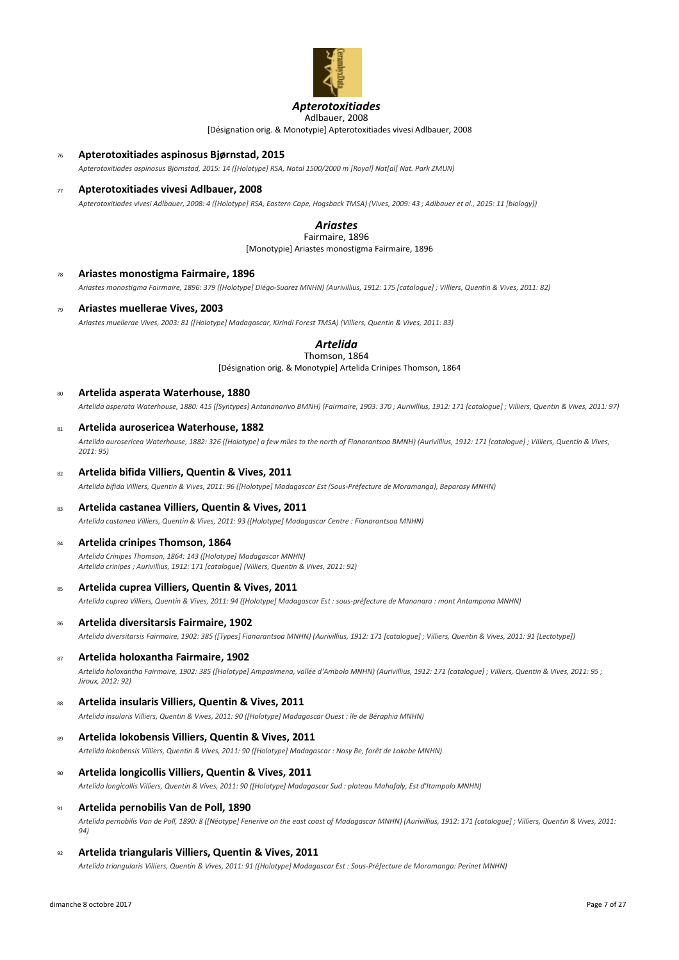

### *Apterotoxitiades* Adlbauer, 2008

[Désignation orig. & Monotypie] Apterotoxitiades vivesi Adlbauer, 2008

- <sup>76</sup> **Apterotoxitiades aspinosus Bjørnstad, 2015**
	- *Apterotoxitiades aspinosus Björnstad, 2015: 14 ([Holotype] RSA, Natal 1500/2000 m [Royal] Nat[al] Nat. Park ZMUN)*

#### <sup>77</sup> **Apterotoxitiades vivesi Adlbauer, 2008**

*Apterotoxitiades vivesi Adlbauer, 2008: 4 ([Holotype] RSA, Eastern Cape, Hogsback TMSA) (Vives, 2009: 43 ; Adlbauer et al., 2015: 11 [biology])*

#### *Ariastes* Fairmaire, 1896

[Monotypie] Ariastes monostigma Fairmaire, 1896

- <sup>78</sup> **Ariastes monostigma Fairmaire, 1896** *Ariastes monostigma Fairmaire, 1896: 379 ([Holotype] Diégo-Suarez MNHN) (Aurivillius, 1912: 175 [catalogue] ; Villiers, Quentin & Vives, 2011: 82)*
- <sup>79</sup> **Ariastes muellerae Vives, 2003**

*Ariastes muellerae Vives, 2003: 81 ([Holotype] Madagascar, Kirindi Forest TMSA) (Villiers, Quentin & Vives, 2011: 83)*

# *Artelida*

[Désignation orig. & Monotypie] Artelida Crinipes Thomson, 1864 Thomson, 1864

<sup>80</sup> **Artelida asperata Waterhouse, 1880**

*Artelida asperata Waterhouse, 1880: 415 ([Syntypes] Antananarivo BMNH) (Fairmaire, 1903: 370 ; Aurivillius, 1912: 171 [catalogue] ; Villiers, Quentin & Vives, 2011: 97)*

#### <sup>81</sup> **Artelida aurosericea Waterhouse, 1882**

*Artelida aurosericea Waterhouse, 1882: 326 ([Holotype] a few miles to the north of Fianarantsoa BMNH) (Aurivillius, 1912: 171 [catalogue] ; Villiers, Quentin & Vives, 2011: 95)*

#### <sup>82</sup> **Artelida bifida Villiers, Quentin & Vives, 2011**

*Artelida bifida Villiers, Quentin & Vives, 2011: 96 ([Holotype] Madagascar Est (Sous-Préfecture de Moramanga), Beparasy MNHN)*

#### <sup>83</sup> **Artelida castanea Villiers, Quentin & Vives, 2011**

*Artelida castanea Villiers, Quentin & Vives, 2011: 93 ([Holotype] Madagascar Centre : Fianarantsoa MNHN)*

#### <sup>84</sup> **Artelida crinipes Thomson, 1864**

*Artelida Crinipes Thomson, 1864: 143 ([Holotype] Madagascar MNHN) Artelida crinipes ; Aurivillius, 1912: 171 [catalogue] (Villiers, Quentin & Vives, 2011: 92)*

<sup>85</sup> **Artelida cuprea Villiers, Quentin & Vives, 2011**

*Artelida cuprea Villiers, Quentin & Vives, 2011: 94 ([Holotype] Madagascar Est : sous-préfecture de Mananara : mont Antampona MNHN)*

<sup>86</sup> **Artelida diversitarsis Fairmaire, 1902**

*Artelida diversitarsis Fairmaire, 1902: 385 ([Types] Fianarantsoa MNHN) (Aurivillius, 1912: 171 [catalogue] ; Villiers, Quentin & Vives, 2011: 91 [Lectotype])*

<sup>87</sup> **Artelida holoxantha Fairmaire, 1902**

*Artelida holoxantha Fairmaire, 1902: 385 ([Holotype] Ampasimena, vallée d'Ambolo MNHN) (Aurivillius, 1912: 171 [catalogue] ; Villiers, Quentin & Vives, 2011: 95 ; Jiroux, 2012: 92)*

<sup>88</sup> **Artelida insularis Villiers, Quentin & Vives, 2011**

*Artelida insularis Villiers, Quentin & Vives, 2011: 90 ([Holotype] Madagascar Ouest : île de Béraphia MNHN)*

<sup>89</sup> **Artelida lokobensis Villiers, Quentin & Vives, 2011**

*Artelida lokobensis Villiers, Quentin & Vives, 2011: 90 ([Holotype] Madagascar : Nosy Be, forêt de Lokobe MNHN)*

<sup>90</sup> **Artelida longicollis Villiers, Quentin & Vives, 2011**

*Artelida longicollis Villiers, Quentin & Vives, 2011: 90 ([Holotype] Madagascar Sud : plateau Mahafaly, Est d'Itampolo MNHN)*

<sup>91</sup> **Artelida pernobilis Van de Poll, 1890**

*Artelida pernobilis Van de Poll, 1890: 8 ([Néotype] Fenerive on the east coast of Madagascar MNHN) (Aurivillius, 1912: 171 [catalogue] ; Villiers, Quentin & Vives, 2011: 94)*

<sup>92</sup> **Artelida triangularis Villiers, Quentin & Vives, 2011**

*Artelida triangularis Villiers, Quentin & Vives, 2011: 91 ([Holotype] Madagascar Est : Sous-Préfecture de Moramanga: Perinet MNHN)*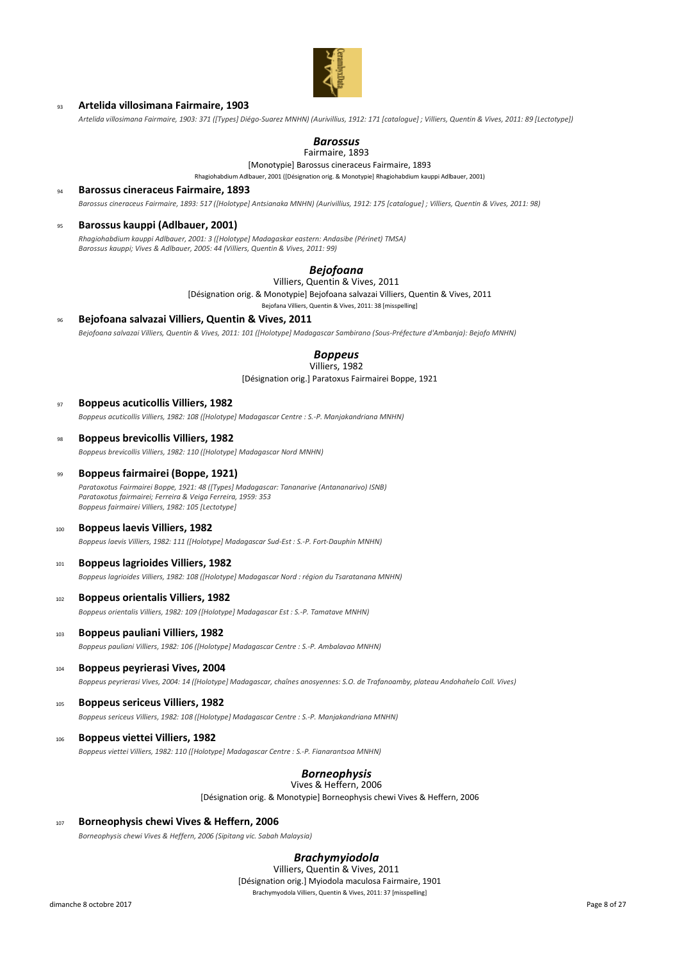

# <sup>93</sup> **Artelida villosimana Fairmaire, 1903**

*Artelida villosimana Fairmaire, 1903: 371 ([Types] Diégo-Suarez MNHN) (Aurivillius, 1912: 171 [catalogue] ; Villiers, Quentin & Vives, 2011: 89 [Lectotype])*

# *Barossus*

# Fairmaire, 1893

[Monotypie] Barossus cineraceus Fairmaire, 1893 Rhagiohabdium Adlbauer, 2001 ([Désignation orig. & Monotypie] Rhagiohabdium kauppi Adlbauer, 2001)

<sup>94</sup> **Barossus cineraceus Fairmaire, 1893**

*Barossus cineraceus Fairmaire, 1893: 517 ([Holotype] Antsianaka MNHN) (Aurivillius, 1912: 175 [catalogue] ; Villiers, Quentin & Vives, 2011: 98)*

## <sup>95</sup> **Barossus kauppi (Adlbauer, 2001)**

*Rhagiohabdium kauppi Adlbauer, 2001: 3 ([Holotype] Madagaskar eastern: Andasibe (Périnet) TMSA) Barossus kauppi; Vives & Adlbauer, 2005: 44 (Villiers, Quentin & Vives, 2011: 99)*

# *Bejofoana*

Villiers, Quentin & Vives, 2011

[Désignation orig. & Monotypie] Bejofoana salvazai Villiers, Quentin & Vives, 2011

Bejofana Villiers, Quentin & Vives, 2011: 38 [misspelling]

# <sup>96</sup> **Bejofoana salvazai Villiers, Quentin & Vives, 2011** *Bejofoana salvazai Villiers, Quentin & Vives, 2011: 101 ([Holotype] Madagascar Sambirano (Sous-Préfecture d'Ambanja): Bejofo MNHN)*

# *Boppeus*

[Désignation orig.] Paratoxus Fairmairei Boppe, 1921 Villiers, 1982

#### <sup>97</sup> **Boppeus acuticollis Villiers, 1982**

*Boppeus acuticollis Villiers, 1982: 108 ([Holotype] Madagascar Centre : S.-P. Manjakandriana MNHN)*

# <sup>98</sup> **Boppeus brevicollis Villiers, 1982**

*Boppeus brevicollis Villiers, 1982: 110 ([Holotype] Madagascar Nord MNHN)*

# <sup>99</sup> **Boppeus fairmairei (Boppe, 1921)**

*Paratoxotus Fairmairei Boppe, 1921: 48 ([Types] Madagascar: Tananarive (Antananarivo) ISNB) Paratoxotus fairmairei; Ferreira & Veiga Ferreira, 1959: 353 Boppeus fairmairei Villiers, 1982: 105 [Lectotype]*

### <sup>100</sup> **Boppeus laevis Villiers, 1982**

*Boppeus laevis Villiers, 1982: 111 ([Holotype] Madagascar Sud-Est : S.-P. Fort-Dauphin MNHN)*

#### <sup>101</sup> **Boppeus lagrioides Villiers, 1982**

*Boppeus lagrioides Villiers, 1982: 108 ([Holotype] Madagascar Nord : région du Tsaratanana MNHN)*

# <sup>102</sup> **Boppeus orientalis Villiers, 1982**

*Boppeus orientalis Villiers, 1982: 109 ([Holotype] Madagascar Est : S.-P. Tamatave MNHN)*

#### <sup>103</sup> **Boppeus pauliani Villiers, 1982**

*Boppeus pauliani Villiers, 1982: 106 ([Holotype] Madagascar Centre : S.-P. Ambalavao MNHN)*

# <sup>104</sup> **Boppeus peyrierasi Vives, 2004**

*Boppeus peyrierasi Vives, 2004: 14 ([Holotype] Madagascar, chaînes anosyennes: S.O. de Trafanoamby, plateau Andohahelo Coll. Vives)*

#### <sup>105</sup> **Boppeus sericeus Villiers, 1982**

*Boppeus sericeus Villiers, 1982: 108 ([Holotype] Madagascar Centre : S.-P. Manjakandriana MNHN)*

# <sup>106</sup> **Boppeus viettei Villiers, 1982** *Boppeus viettei Villiers, 1982: 110 ([Holotype] Madagascar Centre : S.-P. Fianarantsoa MNHN)*

#### *Borneophysis* Vives & Heffern, 2006

[Désignation orig. & Monotypie] Borneophysis chewi Vives & Heffern, 2006

# <sup>107</sup> **Borneophysis chewi Vives & Heffern, 2006** *Borneophysis chewi Vives & Heffern, 2006 (Sipitang vic. Sabah Malaysia)*

## *Brachymyiodola*

[Désignation orig.] Myiodola maculosa Fairmaire, 1901 Brachymyodola Villiers, Quentin & Vives, 2011: 37 [misspelling] Villiers, Quentin & Vives, 2011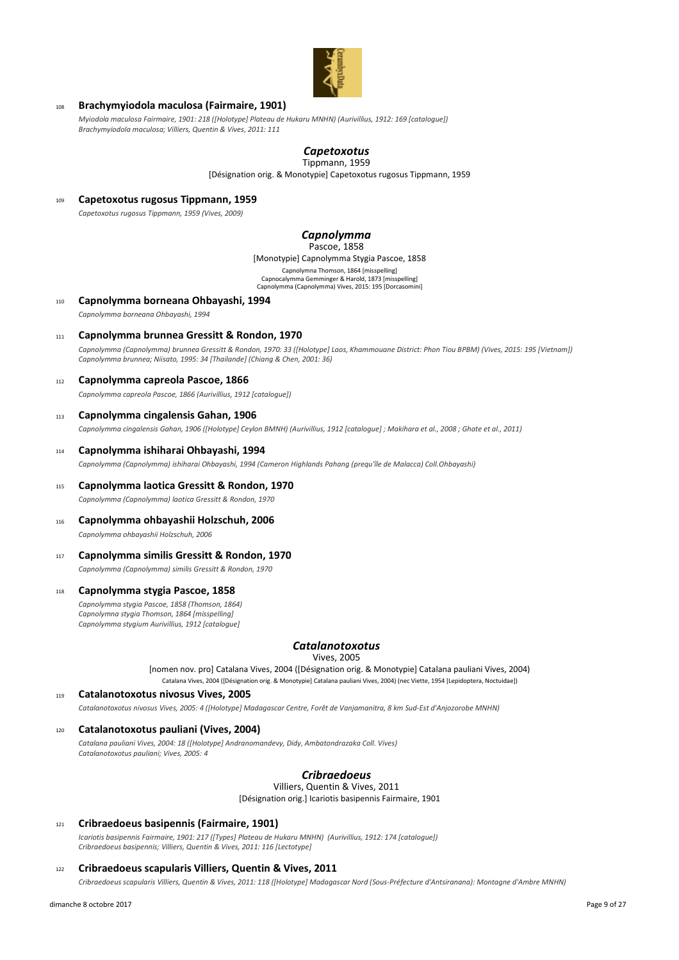

# <sup>108</sup> **Brachymyiodola maculosa (Fairmaire, 1901)**

*Myiodola maculosa Fairmaire, 1901: 218 ([Holotype] Plateau de Hukaru MNHN) (Aurivillius, 1912: 169 [catalogue]) Brachymyiodola maculosa; Villiers, Quentin & Vives, 2011: 111*

#### *Capetoxotus* Tippmann, 1959

[Désignation orig. & Monotypie] Capetoxotus rugosus Tippmann, 1959

<sup>109</sup> **Capetoxotus rugosus Tippmann, 1959**

*Capetoxotus rugosus Tippmann, 1959 (Vives, 2009)*

#### *Capnolymma* Pascoe, 1858

[Monotypie] Capnolymma Stygia Pascoe, 1858 Capnolymna Thomson, 1864 [misspelling]

Capnocalymma Gemminger & Harold, 1873 [misspelling] Capnolymma (Capnolymma) Vives, 2015: 195 [Dorcasomini]

<sup>110</sup> **Capnolymma borneana Ohbayashi, 1994**

*Capnolymma borneana Ohbayashi, 1994*

<sup>111</sup> **Capnolymma brunnea Gressitt & Rondon, 1970**

*Capnolymma (Capnolymma) brunnea Gressitt & Rondon, 1970: 33 ([Holotype] Laos, Khammouane District: Phon Tiou BPBM) (Vives, 2015: 195 [Vietnam]) Capnolymma brunnea; Niisato, 1995: 34 [Thailande] (Chiang & Chen, 2001: 36)*

# <sup>112</sup> **Capnolymma capreola Pascoe, 1866**

*Capnolymma capreola Pascoe, 1866 (Aurivillius, 1912 [catalogue])*

## <sup>113</sup> **Capnolymma cingalensis Gahan, 1906**

*Capnolymma cingalensis Gahan, 1906 ([Holotype] Ceylon BMNH) (Aurivillius, 1912 [catalogue] ; Makihara et al., 2008 ; Ghate et al., 2011)*

#### <sup>114</sup> **Capnolymma ishiharai Ohbayashi, 1994**

*Capnolymma (Capnolymma) ishiharai Ohbayashi, 1994 (Cameron Highlands Pahang (prequ'île de Malacca) Coll.Ohbayashi)*

- <sup>115</sup> **Capnolymma laotica Gressitt & Rondon, 1970** *Capnolymma (Capnolymma) laotica Gressitt & Rondon, 1970*
- <sup>116</sup> **Capnolymma ohbayashii Holzschuh, 2006** *Capnolymma ohbayashii Holzschuh, 2006*

# <sup>117</sup> **Capnolymma similis Gressitt & Rondon, 1970**

*Capnolymma (Capnolymma) similis Gressitt & Rondon, 1970*

## <sup>118</sup> **Capnolymma stygia Pascoe, 1858**

*Capnolymma stygia Pascoe, 1858 (Thomson, 1864) Capnolymna stygia Thomson, 1864 [misspelling] Capnolymma stygium Aurivillius, 1912 [catalogue]*

# *Catalanotoxotus*

Vives, 2005

[nomen nov. pro] Catalana Vives, 2004 ([Désignation orig. & Monotypie] Catalana pauliani Vives, 2004) Catalana Vives, 2004 ([Désignation orig. & Monotypie] Catalana pauliani Vives, 2004) (nec Viette, 1954 [Lepidoptera, Noctuidae])

### <sup>119</sup> **Catalanotoxotus nivosus Vives, 2005**

*Catalanotoxotus nivosus Vives, 2005: 4 ([Holotype] Madagascar Centre, Forêt de Vanjamanitra, 8 km Sud-Est d'Anjozorobe MNHN)*

# <sup>120</sup> **Catalanotoxotus pauliani (Vives, 2004)**

*Catalana pauliani Vives, 2004: 18 ([Holotype] Andranomandevy, Didy, Ambatondrazaka Coll. Vives) Catalanotoxotus pauliani; Vives, 2005: 4*

# *Cribraedoeus*

Villiers, Quentin & Vives, 2011

[Désignation orig.] Icariotis basipennis Fairmaire, 1901

## <sup>121</sup> **Cribraedoeus basipennis (Fairmaire, 1901)**

*Icariotis basipennis Fairmaire, 1901: 217 ([Types] Plateau de Hukaru MNHN) (Aurivillius, 1912: 174 [catalogue]) Cribraedoeus basipennis; Villiers, Quentin & Vives, 2011: 116 [Lectotype]*

## <sup>122</sup> **Cribraedoeus scapularis Villiers, Quentin & Vives, 2011**

*Cribraedoeus scapularis Villiers, Quentin & Vives, 2011: 118 ([Holotype] Madagascar Nord (Sous-Préfecture d'Antsiranana): Montagne d'Ambre MNHN)*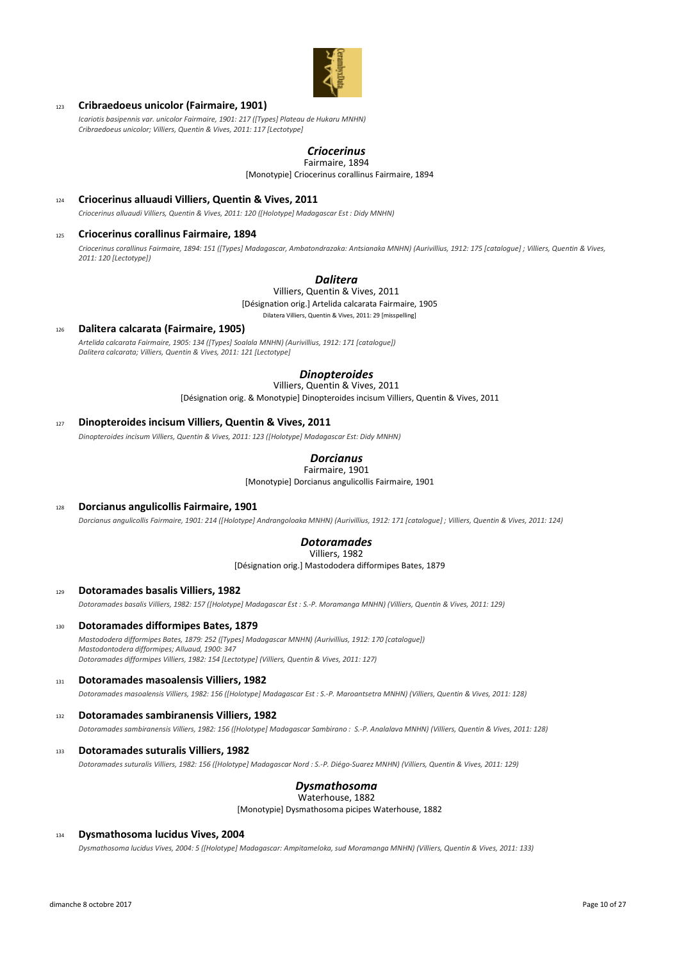

# <sup>123</sup> **Cribraedoeus unicolor (Fairmaire, 1901)**

*Icariotis basipennis var. unicolor Fairmaire, 1901: 217 ([Types] Plateau de Hukaru MNHN) Cribraedoeus unicolor; Villiers, Quentin & Vives, 2011: 117 [Lectotype]*

# *Criocerinus*

[Monotypie] Criocerinus corallinus Fairmaire, 1894 Fairmaire, 1894

<sup>124</sup> **Criocerinus alluaudi Villiers, Quentin & Vives, 2011**

*Criocerinus alluaudi Villiers, Quentin & Vives, 2011: 120 ([Holotype] Madagascar Est : Didy MNHN)*

## <sup>125</sup> **Criocerinus corallinus Fairmaire, 1894**

*Criocerinus corallinus Fairmaire, 1894: 151 ([Types] Madagascar, Ambatondrazaka: Antsianaka MNHN) (Aurivillius, 1912: 175 [catalogue] ; Villiers, Quentin & Vives, 2011: 120 [Lectotype])*

# *Dalitera*

Villiers, Quentin & Vives, 2011

[Désignation orig.] Artelida calcarata Fairmaire, 1905

Dilatera Villiers, Quentin & Vives, 2011: 29 [misspelling]

#### <sup>126</sup> **Dalitera calcarata (Fairmaire, 1905)** *Artelida calcarata Fairmaire, 1905: 134 ([Types] Soalala MNHN) (Aurivillius, 1912: 171 [catalogue]) Dalitera calcarata; Villiers, Quentin & Vives, 2011: 121 [Lectotype]*

# *Dinopteroides*

[Désignation orig. & Monotypie] Dinopteroides incisum Villiers, Quentin & Vives, 2011 Villiers, Quentin & Vives, 2011

## <sup>127</sup> **Dinopteroides incisum Villiers, Quentin & Vives, 2011**

*Dinopteroides incisum Villiers, Quentin & Vives, 2011: 123 ([Holotype] Madagascar Est: Didy MNHN)*

#### *Dorcianus* Fairmaire, 1901

[Monotypie] Dorcianus angulicollis Fairmaire, 1901

# <sup>128</sup> **Dorcianus angulicollis Fairmaire, 1901**

*Dorcianus angulicollis Fairmaire, 1901: 214 ([Holotype] Andrangoloaka MNHN) (Aurivillius, 1912: 171 [catalogue] ; Villiers, Quentin & Vives, 2011: 124)*

#### *Dotoramades* Villiers, 1982

[Désignation orig.] Mastododera difformipes Bates, 1879

### <sup>129</sup> **Dotoramades basalis Villiers, 1982**

*Dotoramades basalis Villiers, 1982: 157 ([Holotype] Madagascar Est : S.-P. Moramanga MNHN) (Villiers, Quentin & Vives, 2011: 129)*

#### <sup>130</sup> **Dotoramades difformipes Bates, 1879**

*Mastododera difformipes Bates, 1879: 252 ([Types] Madagascar MNHN) (Aurivillius, 1912: 170 [catalogue]) Mastodontodera difformipes; Alluaud, 1900: 347 Dotoramades difformipes Villiers, 1982: 154 [Lectotype] (Villiers, Quentin & Vives, 2011: 127)*

# <sup>131</sup> **Dotoramades masoalensis Villiers, 1982** *Dotoramades masoalensis Villiers, 1982: 156 ([Holotype] Madagascar Est : S.-P. Maroantsetra MNHN) (Villiers, Quentin & Vives, 2011: 128)*

# <sup>132</sup> **Dotoramades sambiranensis Villiers, 1982**

*Dotoramades sambiranensis Villiers, 1982: 156 ([Holotype] Madagascar Sambirano : S.-P. Analalava MNHN) (Villiers, Quentin & Vives, 2011: 128)*

#### <sup>133</sup> **Dotoramades suturalis Villiers, 1982**

*Dotoramades suturalis Villiers, 1982: 156 ([Holotype] Madagascar Nord : S.-P. Diégo-Suarez MNHN) (Villiers, Quentin & Vives, 2011: 129)*

# *Dysmathosoma*

Waterhouse, 1882

[Monotypie] Dysmathosoma picipes Waterhouse, 1882

#### <sup>134</sup> **Dysmathosoma lucidus Vives, 2004**

*Dysmathosoma lucidus Vives, 2004: 5 ([Holotype] Madagascar: Ampitameloka, sud Moramanga MNHN) (Villiers, Quentin & Vives, 2011: 133)*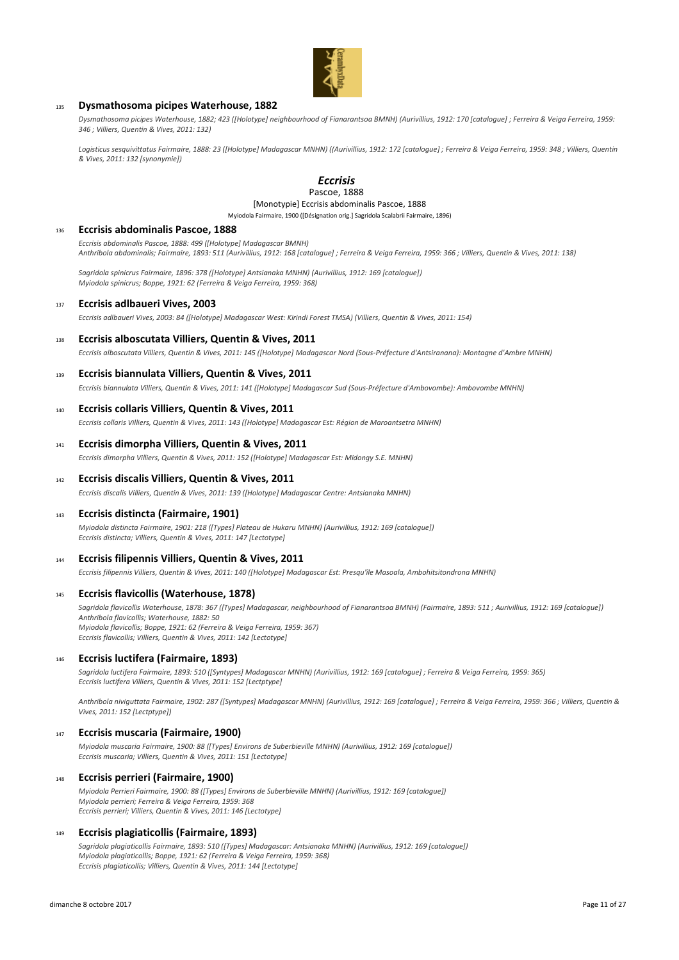

## <sup>135</sup> **Dysmathosoma picipes Waterhouse, 1882**

*Dysmathosoma picipes Waterhouse, 1882; 423 ([Holotype] neighbourhood of Fianarantsoa BMNH) (Aurivillius, 1912: 170 [catalogue] ; Ferreira & Veiga Ferreira, 1959: 346 ; Villiers, Quentin & Vives, 2011: 132)*

Logisticus sesquivittatus Fairmaire, 1888: 23 ([Holotype] Madagascar MNHN) ((Aurivillius, 1912: 172 [catalogue] ; Ferreira & Veiga Ferreira, 1959: 348 ; Villiers, Quentin *& Vives, 2011: 132 [synonymie])*

#### *Eccrisis* Pascoe, 1888

# [Monotypie] Eccrisis abdominalis Pascoe, 1888

Myiodola Fairmaire, 1900 ([Désignation orig.] Sagridola Scalabrii Fairmaire, 1896)

#### <sup>136</sup> **Eccrisis abdominalis Pascoe, 1888**

*Eccrisis abdominalis Pascoe, 1888: 499 ([Holotype] Madagascar BMNH) Anthribola abdominalis; Fairmaire, 1893: 511 (Aurivillius, 1912: 168 [catalogue] ; Ferreira & Veiga Ferreira, 1959: 366 ; Villiers, Quentin & Vives, 2011: 138)*

*Sagridola spinicrus Fairmaire, 1896: 378 ([Holotype] Antsianaka MNHN) (Aurivillius, 1912: 169 [catalogue]) Myiodola spinicrus; Boppe, 1921: 62 (Ferreira & Veiga Ferreira, 1959: 368)*

#### <sup>137</sup> **Eccrisis adlbaueri Vives, 2003**

*Eccrisis adlbaueri Vives, 2003: 84 ([Holotype] Madagascar West: Kirindi Forest TMSA) (Villiers, Quentin & Vives, 2011: 154)*

<sup>138</sup> **Eccrisis alboscutata Villiers, Quentin & Vives, 2011**

*Eccrisis alboscutata Villiers, Quentin & Vives, 2011: 145 ([Holotype] Madagascar Nord (Sous-Préfecture d'Antsiranana): Montagne d'Ambre MNHN)*

#### <sup>139</sup> **Eccrisis biannulata Villiers, Quentin & Vives, 2011**

*Eccrisis biannulata Villiers, Quentin & Vives, 2011: 141 ([Holotype] Madagascar Sud (Sous-Préfecture d'Ambovombe): Ambovombe MNHN)*

### <sup>140</sup> **Eccrisis collaris Villiers, Quentin & Vives, 2011**

*Eccrisis collaris Villiers, Quentin & Vives, 2011: 143 ([Holotype] Madagascar Est: Région de Maroantsetra MNHN)*

<sup>141</sup> **Eccrisis dimorpha Villiers, Quentin & Vives, 2011**

*Eccrisis dimorpha Villiers, Quentin & Vives, 2011: 152 ([Holotype] Madagascar Est: Midongy S.E. MNHN)*

# <sup>142</sup> **Eccrisis discalis Villiers, Quentin & Vives, 2011**

*Eccrisis discalis Villiers, Quentin & Vives, 2011: 139 ([Holotype] Madagascar Centre: Antsianaka MNHN)*

#### <sup>143</sup> **Eccrisis distincta (Fairmaire, 1901)**

*Myiodola distincta Fairmaire, 1901: 218 ([Types] Plateau de Hukaru MNHN) (Aurivillius, 1912: 169 [catalogue]) Eccrisis distincta; Villiers, Quentin & Vives, 2011: 147 [Lectotype]*

#### <sup>144</sup> **Eccrisis filipennis Villiers, Quentin & Vives, 2011**

*Eccrisis filipennis Villiers, Quentin & Vives, 2011: 140 ([Holotype] Madagascar Est: Presqu'île Masoala, Ambohitsitondrona MNHN)*

#### <sup>145</sup> **Eccrisis flavicollis (Waterhouse, 1878)**

*Sagridola flavicollis Waterhouse, 1878: 367 ([Types] Madagascar, neighbourhood of Fianarantsoa BMNH) (Fairmaire, 1893: 511 ; Aurivillius, 1912: 169 [catalogue]) Anthribola flavicollis; Waterhouse, 1882: 50 Myiodola flavicollis; Boppe, 1921: 62 (Ferreira & Veiga Ferreira, 1959: 367) Eccrisis flavicollis; Villiers, Quentin & Vives, 2011: 142 [Lectotype]*

#### <sup>146</sup> **Eccrisis luctifera (Fairmaire, 1893)**

*Sagridola luctifera Fairmaire, 1893: 510 ([Syntypes] Madagascar MNHN) (Aurivillius, 1912: 169 [catalogue] ; Ferreira & Veiga Ferreira, 1959: 365) Eccrisis luctifera Villiers, Quentin & Vives, 2011: 152 [Lectptype]*

*Anthribola niviguttata Fairmaire, 1902: 287 ([Syntypes] Madagascar MNHN) (Aurivillius, 1912: 169 [catalogue] ; Ferreira & Veiga Ferreira, 1959: 366 ; Villiers, Quentin & Vives, 2011: 152 [Lectptype])*

#### <sup>147</sup> **Eccrisis muscaria (Fairmaire, 1900)**

*Myiodola muscaria Fairmaire, 1900: 88 ([Types] Environs de Suberbieville MNHN) (Aurivillius, 1912: 169 [catalogue]) Eccrisis muscaria; Villiers, Quentin & Vives, 2011: 151 [Lectotype]*

### <sup>148</sup> **Eccrisis perrieri (Fairmaire, 1900)**

*Myiodola Perrieri Fairmaire, 1900: 88 ([Types] Environs de Suberbieville MNHN) (Aurivillius, 1912: 169 [catalogue]) Myiodola perrieri; Ferreira & Veiga Ferreira, 1959: 368 Eccrisis perrieri; Villiers, Quentin & Vives, 2011: 146 [Lectotype]*

# <sup>149</sup> **Eccrisis plagiaticollis (Fairmaire, 1893)**

*Sagridola plagiaticollis Fairmaire, 1893: 510 ([Types] Madagascar: Antsianaka MNHN) (Aurivillius, 1912: 169 [catalogue]) Myiodola plagiaticollis; Boppe, 1921: 62 (Ferreira & Veiga Ferreira, 1959: 368) Eccrisis plagiaticollis; Villiers, Quentin & Vives, 2011: 144 [Lectotype]*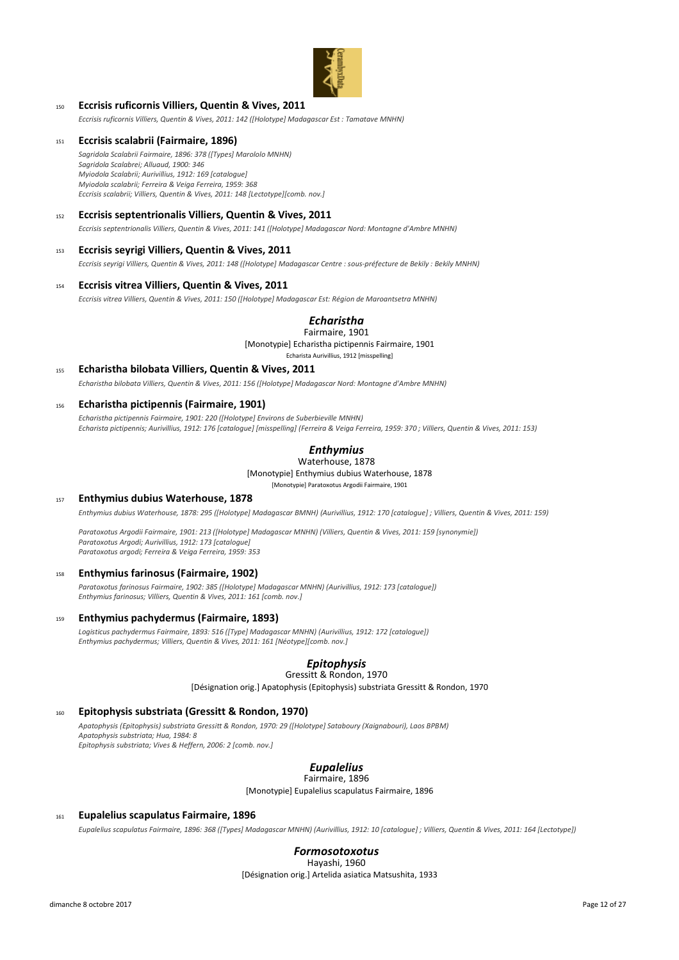

# <sup>150</sup> **Eccrisis ruficornis Villiers, Quentin & Vives, 2011**

*Eccrisis ruficornis Villiers, Quentin & Vives, 2011: 142 ([Holotype] Madagascar Est : Tamatave MNHN)*

## <sup>151</sup> **Eccrisis scalabrii (Fairmaire, 1896)**

*Sagridola Scalabrii Fairmaire, 1896: 378 ([Types] Marololo MNHN) Sagridola Scalabrei; Alluaud, 1900: 346 Myiodola Scalabrii; Aurivillius, 1912: 169 [catalogue] Myiodola scalabrii; Ferreira & Veiga Ferreira, 1959: 368 Eccrisis scalabrii; Villiers, Quentin & Vives, 2011: 148 [Lectotype][comb. nov.]*

## <sup>152</sup> **Eccrisis septentrionalis Villiers, Quentin & Vives, 2011**

*Eccrisis septentrionalis Villiers, Quentin & Vives, 2011: 141 ([Holotype] Madagascar Nord: Montagne d'Ambre MNHN)*

### <sup>153</sup> **Eccrisis seyrigi Villiers, Quentin & Vives, 2011**

*Eccrisis seyrigi Villiers, Quentin & Vives, 2011: 148 ([Holotype] Madagascar Centre : sous-préfecture de Bekily : Bekily MNHN)*

#### <sup>154</sup> **Eccrisis vitrea Villiers, Quentin & Vives, 2011**

*Eccrisis vitrea Villiers, Quentin & Vives, 2011: 150 ([Holotype] Madagascar Est: Région de Maroantsetra MNHN)*

#### *Echaristha* Fairmaire, 1901

[Monotypie] Echaristha pictipennis Fairmaire, 1901 Echarista Aurivillius, 1912 [misspelling]

# <sup>155</sup> **Echaristha bilobata Villiers, Quentin & Vives, 2011**

*Echaristha bilobata Villiers, Quentin & Vives, 2011: 156 ([Holotype] Madagascar Nord: Montagne d'Ambre MNHN)*

## <sup>156</sup> **Echaristha pictipennis (Fairmaire, 1901)**

*Echaristha pictipennis Fairmaire, 1901: 220 ([Holotype] Environs de Suberbieville MNHN) Echarista pictipennis; Aurivillius, 1912: 176 [catalogue] [misspelling] (Ferreira & Veiga Ferreira, 1959: 370 ; Villiers, Quentin & Vives, 2011: 153)*

# *Enthymius*

[Monotypie] Enthymius dubius Waterhouse, 1878 [Monotypie] Paratoxotus Argodii Fairmaire, 1901 Waterhouse, 1878

#### <sup>157</sup> **Enthymius dubius Waterhouse, 1878**

*Enthymius dubius Waterhouse, 1878: 295 ([Holotype] Madagascar BMNH) (Aurivillius, 1912: 170 [catalogue] ; Villiers, Quentin & Vives, 2011: 159)*

*Paratoxotus Argodii Fairmaire, 1901: 213 ([Holotype] Madagascar MNHN) (Villiers, Quentin & Vives, 2011: 159 [synonymie]) Paratoxotus Argodi; Aurivillius, 1912: 173 [catalogue] Paratoxotus argodi; Ferreira & Veiga Ferreira, 1959: 353*

# <sup>158</sup> **Enthymius farinosus (Fairmaire, 1902)**

*Paratoxotus farinosus Fairmaire, 1902: 385 ([Holotype] Madagascar MNHN) (Aurivillius, 1912: 173 [catalogue]) Enthymius farinosus; Villiers, Quentin & Vives, 2011: 161 [comb. nov.]*

## <sup>159</sup> **Enthymius pachydermus (Fairmaire, 1893)**

*Logisticus pachydermus Fairmaire, 1893: 516 ([Type] Madagascar MNHN) (Aurivillius, 1912: 172 [catalogue]) Enthymius pachydermus; Villiers, Quentin & Vives, 2011: 161 [Néotype][comb. nov.]*

# *Epitophysis*

[Désignation orig.] Apatophysis (Epitophysis) substriata Gressitt & Rondon, 1970 Gressitt & Rondon, 1970

#### <sup>160</sup> **Epitophysis substriata (Gressitt & Rondon, 1970)**

*Apatophysis (Epitophysis) substriata Gressitt & Rondon, 1970: 29 ([Holotype] Sataboury (Xaignabouri), Laos BPBM) Apatophysis substriata; Hua, 1984: 8 Epitophysis substriata; Vives & Heffern, 2006: 2 [comb. nov.]*

### *Eupalelius* Fairmaire, 1896

[Monotypie] Eupalelius scapulatus Fairmaire, 1896

## <sup>161</sup> **Eupalelius scapulatus Fairmaire, 1896**

*Eupalelius scapulatus Fairmaire, 1896: 368 ([Types] Madagascar MNHN) (Aurivillius, 1912: 10 [catalogue] ; Villiers, Quentin & Vives, 2011: 164 [Lectotype])*

# *Formosotoxotus*

[Désignation orig.] Artelida asiatica Matsushita, 1933 Hayashi, 1960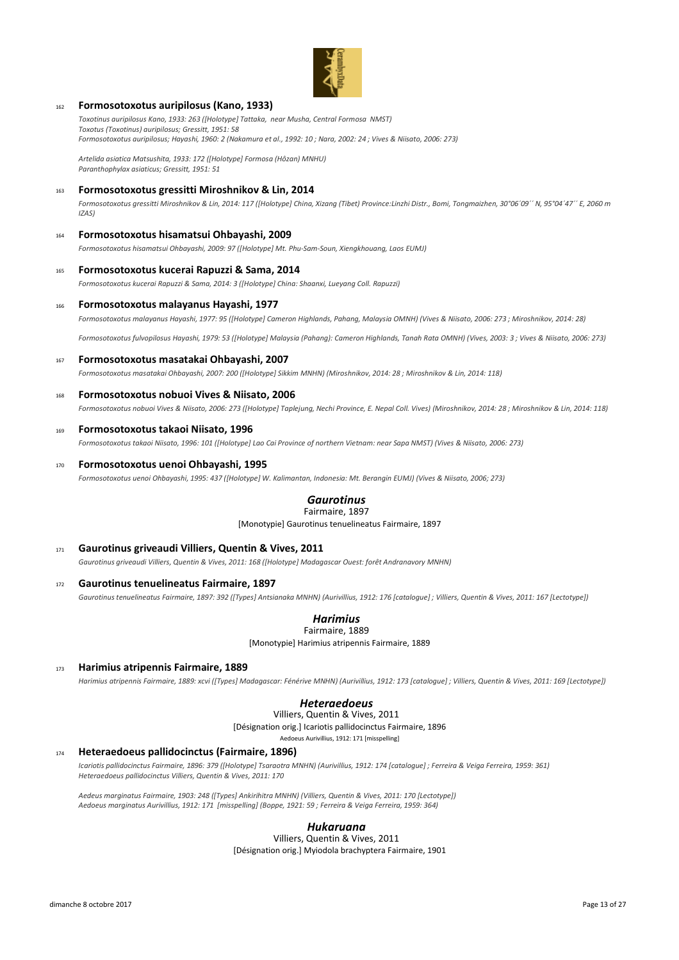

## <sup>162</sup> **Formosotoxotus auripilosus (Kano, 1933)**

*Toxotinus auripilosus Kano, 1933: 263 ([Holotype] Tattaka, near Musha, Central Formosa NMST) Toxotus (Toxotinus) auripilosus; Gressitt, 1951: 58 Formosotoxotus auripilosus; Hayashi, 1960: 2 (Nakamura et al., 1992: 10 ; Nara, 2002: 24 ; Vives & Niisato, 2006: 273)*

*Artelida asiatica Matsushita, 1933: 172 ([Holotype] Formosa (Hôzan) MNHU) Paranthophylax asiaticus; Gressitt, 1951: 51*

#### <sup>163</sup> **Formosotoxotus gressitti Miroshnikov & Lin, 2014**

*Formosotoxotus gressitti Miroshnikov & Lin, 2014: 117 ([Holotype] China, Xizang (Tibet) Province:Linzhi Distr., Bomi, Tongmaizhen, 30°06´09´´ N, 95°04´47´´ E, 2060 m IZAS)*

# <sup>164</sup> **Formosotoxotus hisamatsui Ohbayashi, 2009**

*Formosotoxotus hisamatsui Ohbayashi, 2009: 97 ([Holotype] Mt. Phu-Sam-Soun, Xiengkhouang, Laos EUMJ)*

#### <sup>165</sup> **Formosotoxotus kucerai Rapuzzi & Sama, 2014**

*Formosotoxotus kucerai Rapuzzi & Sama, 2014: 3 ([Holotype] China: Shaanxi, Lueyang Coll. Rapuzzi)*

#### <sup>166</sup> **Formosotoxotus malayanus Hayashi, 1977**

*Formosotoxotus malayanus Hayashi, 1977: 95 ([Holotype] Cameron Highlands, Pahang, Malaysia OMNH) (Vives & Niisato, 2006: 273 ; Miroshnikov, 2014: 28)*

*Formosotoxotus fulvopilosus Hayashi, 1979: 53 ([Holotype] Malaysia (Pahang): Cameron Highlands, Tanah Rata OMNH) (Vives, 2003: 3 ; Vives & Niisato, 2006: 273)*

<sup>167</sup> **Formosotoxotus masatakai Ohbayashi, 2007**

*Formosotoxotus masatakai Ohbayashi, 2007: 200 ([Holotype] Sikkim MNHN) (Miroshnikov, 2014: 28 ; Miroshnikov & Lin, 2014: 118)*

## <sup>168</sup> **Formosotoxotus nobuoi Vives & Niisato, 2006**

*Formosotoxotus nobuoi Vives & Niisato, 2006: 273 ([Holotype] Taplejung, Nechi Province, E. Nepal Coll. Vives) (Miroshnikov, 2014: 28 ; Miroshnikov & Lin, 2014: 118)*

#### <sup>169</sup> **Formosotoxotus takaoi Niisato, 1996**

*Formosotoxotus takaoi Niisato, 1996: 101 ([Holotype] Lao Cai Province of northern Vietnam: near Sapa NMST) (Vives & Niisato, 2006: 273)*

#### <sup>170</sup> **Formosotoxotus uenoi Ohbayashi, 1995**

*Formosotoxotus uenoi Ohbayashi, 1995: 437 ([Holotype] W. Kalimantan, Indonesia: Mt. Berangin EUMJ) (Vives & Niisato, 2006; 273)*

#### *Gaurotinus* Fairmaire, 1897

[Monotypie] Gaurotinus tenuelineatus Fairmaire, 1897

- <sup>171</sup> **Gaurotinus griveaudi Villiers, Quentin & Vives, 2011** *Gaurotinus griveaudi Villiers, Quentin & Vives, 2011: 168 ([Holotype] Madagascar Ouest: forêt Andranavory MNHN)*
- <sup>172</sup> **Gaurotinus tenuelineatus Fairmaire, 1897** *Gaurotinus tenuelineatus Fairmaire, 1897: 392 ([Types] Antsianaka MNHN) (Aurivillius, 1912: 176 [catalogue] ; Villiers, Quentin & Vives, 2011: 167 [Lectotype])*

#### *Harimius* Fairmaire, 1889

[Monotypie] Harimius atripennis Fairmaire, 1889

<sup>173</sup> **Harimius atripennis Fairmaire, 1889**

*Harimius atripennis Fairmaire, 1889: xcvi ([Types] Madagascar: Fénérive MNHN) (Aurivillius, 1912: 173 [catalogue] ; Villiers, Quentin & Vives, 2011: 169 [Lectotype])*

# *Heteraedoeus*

[Désignation orig.] Icariotis pallidocinctus Fairmaire, 1896 Aedoeus Aurivillius, 1912: 171 [misspelling] Villiers, Quentin & Vives, 2011

#### <sup>174</sup> **Heteraedoeus pallidocinctus (Fairmaire, 1896)**

*Icariotis pallidocinctus Fairmaire, 1896: 379 ([Holotype] Tsaraotra MNHN) (Aurivillius, 1912: 174 [catalogue] ; Ferreira & Veiga Ferreira, 1959: 361) Heteraedoeus pallidocinctus Villiers, Quentin & Vives, 2011: 170*

*Aedeus marginatus Fairmaire, 1903: 248 ([Types] Ankirihitra MNHN) (Villiers, Quentin & Vives, 2011: 170 [Lectotype]) Aedoeus marginatus Aurivillius, 1912: 171 [misspelling] (Boppe, 1921: 59 ; Ferreira & Veiga Ferreira, 1959: 364)*

# *Hukaruana*

[Désignation orig.] Myiodola brachyptera Fairmaire, 1901 Villiers, Quentin & Vives, 2011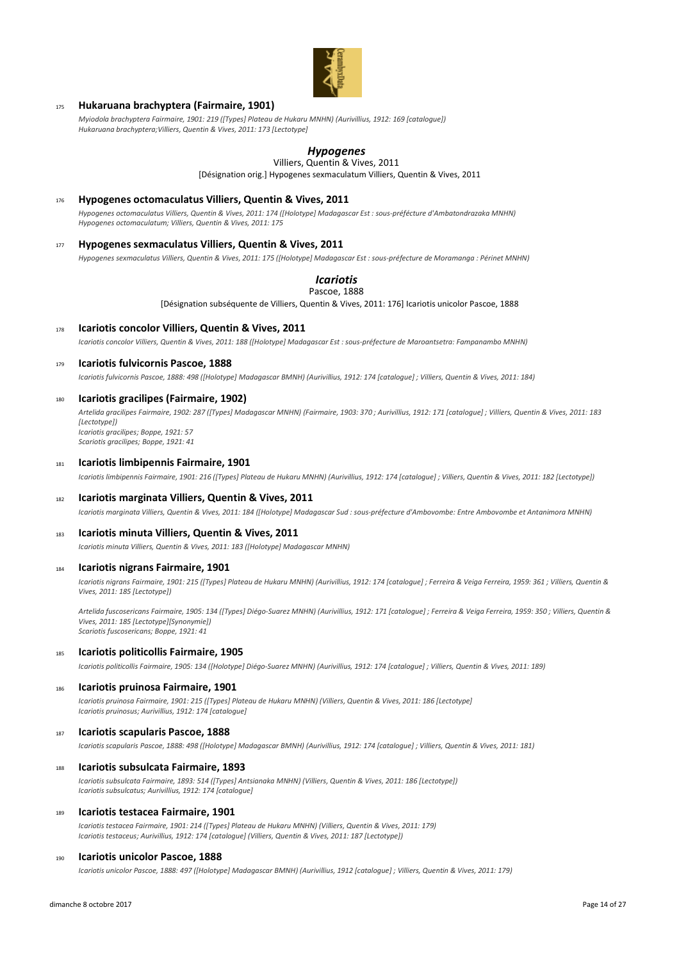

# <sup>175</sup> **Hukaruana brachyptera (Fairmaire, 1901)**

*Myiodola brachyptera Fairmaire, 1901: 219 ([Types] Plateau de Hukaru MNHN) (Aurivillius, 1912: 169 [catalogue]) Hukaruana brachyptera;Villiers, Quentin & Vives, 2011: 173 [Lectotype]*

# *Hypogenes*

[Désignation orig.] Hypogenes sexmaculatum Villiers, Quentin & Vives, 2011 Villiers, Quentin & Vives, 2011

#### <sup>176</sup> **Hypogenes octomaculatus Villiers, Quentin & Vives, 2011**

*Hypogenes octomaculatus Villiers, Quentin & Vives, 2011: 174 ([Holotype] Madagascar Est : sous-préfécture d'Ambatondrazaka MNHN) Hypogenes octomaculatum; Villiers, Quentin & Vives, 2011: 175*

## <sup>177</sup> **Hypogenes sexmaculatus Villiers, Quentin & Vives, 2011**

*Hypogenes sexmaculatus Villiers, Quentin & Vives, 2011: 175 ([Holotype] Madagascar Est : sous-préfecture de Moramanga : Périnet MNHN)*

# *Icariotis*

Pascoe, 1888

[Désignation subséquente de Villiers, Quentin & Vives, 2011: 176] Icariotis unicolor Pascoe, 1888

<sup>178</sup> **Icariotis concolor Villiers, Quentin & Vives, 2011**

*Icariotis concolor Villiers, Quentin & Vives, 2011: 188 ([Holotype] Madagascar Est : sous-préfecture de Maroantsetra: Fampanambo MNHN)*

#### <sup>179</sup> **Icariotis fulvicornis Pascoe, 1888**

*Icariotis fulvicornis Pascoe, 1888: 498 ([Holotype] Madagascar BMNH) (Aurivillius, 1912: 174 [catalogue] ; Villiers, Quentin & Vives, 2011: 184)*

#### <sup>180</sup> **Icariotis gracilipes (Fairmaire, 1902)**

*Artelida gracilipes Fairmaire, 1902: 287 ([Types] Madagascar MNHN) (Fairmaire, 1903: 370 ; Aurivillius, 1912: 171 [catalogue] ; Villiers, Quentin & Vives, 2011: 183 [Lectotype]) Icariotis gracilipes; Boppe, 1921: 57 Scariotis gracilipes; Boppe, 1921: 41*

#### <sup>181</sup> **Icariotis limbipennis Fairmaire, 1901**

*Icariotis limbipennis Fairmaire, 1901: 216 ([Types] Plateau de Hukaru MNHN) (Aurivillius, 1912: 174 [catalogue] ; Villiers, Quentin & Vives, 2011: 182 [Lectotype])*

#### <sup>182</sup> **Icariotis marginata Villiers, Quentin & Vives, 2011**

*Icariotis marginata Villiers, Quentin & Vives, 2011: 184 ([Holotype] Madagascar Sud : sous-préfecture d'Ambovombe: Entre Ambovombe et Antanimora MNHN)*

#### <sup>183</sup> **Icariotis minuta Villiers, Quentin & Vives, 2011**

*Icariotis minuta Villiers, Quentin & Vives, 2011: 183 ([Holotype] Madagascar MNHN)*

#### <sup>184</sup> **Icariotis nigrans Fairmaire, 1901**

*Icariotis nigrans Fairmaire, 1901: 215 ([Types] Plateau de Hukaru MNHN) (Aurivillius, 1912: 174 [catalogue] ; Ferreira & Veiga Ferreira, 1959: 361 ; Villiers, Quentin & Vives, 2011: 185 [Lectotype])*

*Artelida fuscosericans Fairmaire, 1905: 134 ([Types] Diégo-Suarez MNHN) (Aurivillius, 1912: 171 [catalogue] ; Ferreira & Veiga Ferreira, 1959: 350 ; Villiers, Quentin & Vives, 2011: 185 [Lectotype][Synonymie]) Scariotis fuscosericans; Boppe, 1921: 41*

#### <sup>185</sup> **Icariotis politicollis Fairmaire, 1905**

*Icariotis politicollis Fairmaire, 1905: 134 ([Holotype] Diégo-Suarez MNHN) (Aurivillius, 1912: 174 [catalogue] ; Villiers, Quentin & Vives, 2011: 189)*

#### <sup>186</sup> **Icariotis pruinosa Fairmaire, 1901**

*Icariotis pruinosa Fairmaire, 1901: 215 ([Types] Plateau de Hukaru MNHN) (Villiers, Quentin & Vives, 2011: 186 [Lectotype] Icariotis pruinosus; Aurivillius, 1912: 174 [catalogue]*

## <sup>187</sup> **Icariotis scapularis Pascoe, 1888**

*Icariotis scapularis Pascoe, 1888: 498 ([Holotype] Madagascar BMNH) (Aurivillius, 1912: 174 [catalogue] ; Villiers, Quentin & Vives, 2011: 181)*

#### <sup>188</sup> **Icariotis subsulcata Fairmaire, 1893**

*Icariotis subsulcata Fairmaire, 1893: 514 ([Types] Antsianaka MNHN) (Villiers, Quentin & Vives, 2011: 186 [Lectotype]) Icariotis subsulcatus; Aurivillius, 1912: 174 [catalogue]*

#### <sup>189</sup> **Icariotis testacea Fairmaire, 1901**

*Icariotis testacea Fairmaire, 1901: 214 ([Types] Plateau de Hukaru MNHN) (Villiers, Quentin & Vives, 2011: 179) Icariotis testaceus; Aurivillius, 1912: 174 [catalogue] (Villiers, Quentin & Vives, 2011: 187 [Lectotype])*

#### **Icariotis unicolor Pascoe, 1888**

*Icariotis unicolor Pascoe, 1888: 497 ([Holotype] Madagascar BMNH) (Aurivillius, 1912 [catalogue] ; Villiers, Quentin & Vives, 2011: 179)*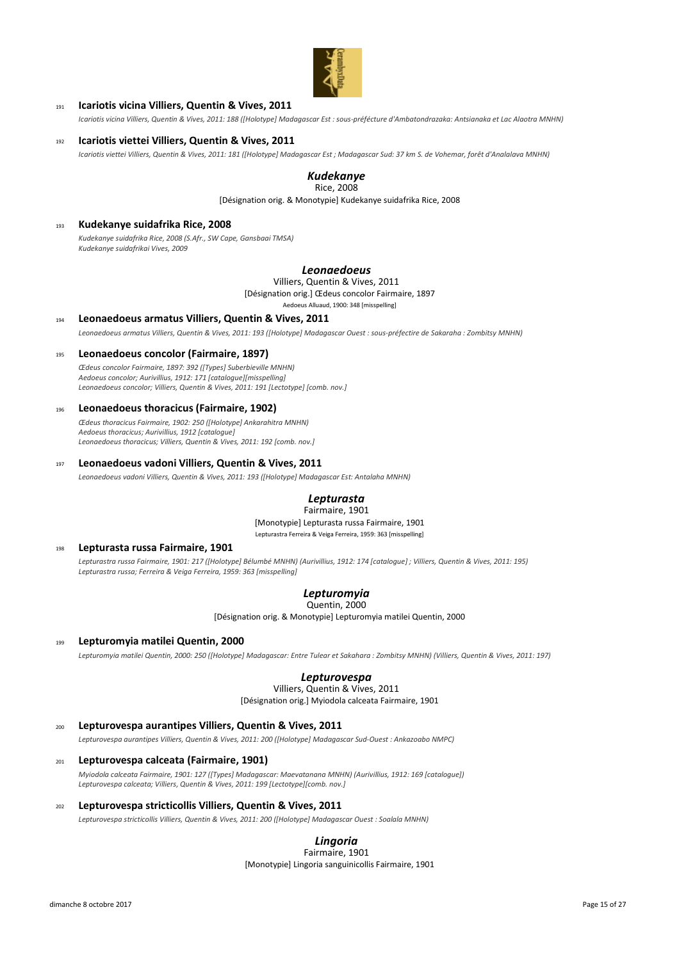

# <sup>191</sup> **Icariotis vicina Villiers, Quentin & Vives, 2011**

*Icariotis vicina Villiers, Quentin & Vives, 2011: 188 ([Holotype] Madagascar Est : sous-préfécture d'Ambatondrazaka: Antsianaka et Lac Alaotra MNHN)*

# <sup>192</sup> **Icariotis viettei Villiers, Quentin & Vives, 2011**

*Icariotis viettei Villiers, Quentin & Vives, 2011: 181 ([Holotype] Madagascar Est ; Madagascar Sud: 37 km S. de Vohemar, forêt d'Analalava MNHN)*

#### *Kudekanye* Rice, 2008

[Désignation orig. & Monotypie] Kudekanye suidafrika Rice, 2008

# <sup>193</sup> **Kudekanye suidafrika Rice, 2008**

*Kudekanye suidafrika Rice, 2008 (S.Afr., SW Cape, Gansbaai TMSA) Kudekanye suidafrikai Vives, 2009*

## *Leonaedoeus*

Villiers, Quentin & Vives, 2011

[Désignation orig.] Œdeus concolor Fairmaire, 1897 Aedoeus Alluaud, 1900: 348 [misspelling]

# <sup>194</sup> **Leonaedoeus armatus Villiers, Quentin & Vives, 2011**

*Leonaedoeus armatus Villiers, Quentin & Vives, 2011: 193 ([Holotype] Madagascar Ouest : sous-préfectire de Sakaraha : Zombitsy MNHN)*

#### <sup>195</sup> **Leonaedoeus concolor (Fairmaire, 1897)**

*Œdeus concolor Fairmaire, 1897: 392 ([Types] Suberbieville MNHN) Aedoeus concolor; Aurivillius, 1912: 171 [catalogue][misspelling] Leonaedoeus concolor; Villiers, Quentin & Vives, 2011: 191 [Lectotype] [comb. nov.]*

#### <sup>196</sup> **Leonaedoeus thoracicus (Fairmaire, 1902)**

*Œdeus thoracicus Fairmaire, 1902: 250 ([Holotype] Ankarahitra MNHN) Aedoeus thoracicus; Aurivillius, 1912 [catalogue] Leonaedoeus thoracicus; Villiers, Quentin & Vives, 2011: 192 [comb. nov.]*

# <sup>197</sup> **Leonaedoeus vadoni Villiers, Quentin & Vives, 2011**

*Leonaedoeus vadoni Villiers, Quentin & Vives, 2011: 193 ([Holotype] Madagascar Est: Antalaha MNHN)*

#### *Lepturasta* Fairmaire, 1901

[Monotypie] Lepturasta russa Fairmaire, 1901

Lepturastra Ferreira & Veiga Ferreira, 1959: 363 [misspelling]

## <sup>198</sup> **Lepturasta russa Fairmaire, 1901**

*Lepturastra russa Fairmaire, 1901: 217 ([Holotype] Bélumbé MNHN) (Aurivillius, 1912: 174 [catalogue] ; Villiers, Quentin & Vives, 2011: 195) Lepturastra russa; Ferreira & Veiga Ferreira, 1959: 363 [misspelling]*

# *Lepturomyia*

Quentin, 2000

[Désignation orig. & Monotypie] Lepturomyia matilei Quentin, 2000

# <sup>199</sup> **Lepturomyia matilei Quentin, 2000**

*Lepturomyia matilei Quentin, 2000: 250 ([Holotype] Madagascar: Entre Tulear et Sakahara : Zombitsy MNHN) (Villiers, Quentin & Vives, 2011: 197)*

# *Lepturovespa*

[Désignation orig.] Myiodola calceata Fairmaire, 1901 Villiers, Quentin & Vives, 2011

# <sup>200</sup> **Lepturovespa aurantipes Villiers, Quentin & Vives, 2011**

*Lepturovespa aurantipes Villiers, Quentin & Vives, 2011: 200 ([Holotype] Madagascar Sud-Ouest : Ankazoabo NMPC)*

#### <sup>201</sup> **Lepturovespa calceata (Fairmaire, 1901)**

*Myiodola calceata Fairmaire, 1901: 127 ([Types] Madagascar: Maevatanana MNHN) (Aurivillius, 1912: 169 [catalogue]) Lepturovespa calceata; Villiers, Quentin & Vives, 2011: 199 [Lectotype][comb. nov.]*

# <sup>202</sup> **Lepturovespa stricticollis Villiers, Quentin & Vives, 2011**

*Lepturovespa stricticollis Villiers, Quentin & Vives, 2011: 200 ([Holotype] Madagascar Ouest : Soalala MNHN)*

#### *Lingoria* Fairmaire, 1901

[Monotypie] Lingoria sanguinicollis Fairmaire, 1901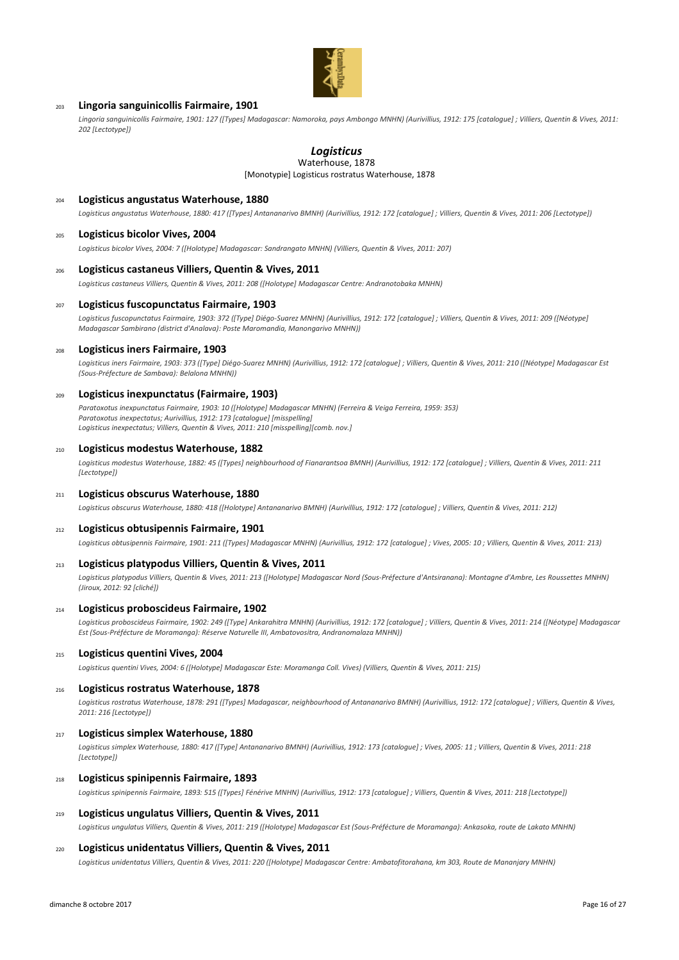

## <sup>203</sup> **Lingoria sanguinicollis Fairmaire, 1901**

*Lingoria sanguinicollis Fairmaire, 1901: 127 ([Types] Madagascar: Namoroka, pays Ambongo MNHN) (Aurivillius, 1912: 175 [catalogue] ; Villiers, Quentin & Vives, 2011: 202 [Lectotype])*

# *Logisticus*

[Monotypie] Logisticus rostratus Waterhouse, 1878 Waterhouse, 1878

# <sup>204</sup> **Logisticus angustatus Waterhouse, 1880**

*Logisticus angustatus Waterhouse, 1880: 417 ([Types] Antananarivo BMNH) (Aurivillius, 1912: 172 [catalogue] ; Villiers, Quentin & Vives, 2011: 206 [Lectotype])*

#### <sup>205</sup> **Logisticus bicolor Vives, 2004**

*Logisticus bicolor Vives, 2004: 7 ([Holotype] Madagascar: Sandrangato MNHN) (Villiers, Quentin & Vives, 2011: 207)*

#### <sup>206</sup> **Logisticus castaneus Villiers, Quentin & Vives, 2011**

*Logisticus castaneus Villiers, Quentin & Vives, 2011: 208 ([Holotype] Madagascar Centre: Andranotobaka MNHN)*

#### <sup>207</sup> **Logisticus fuscopunctatus Fairmaire, 1903**

*Logisticus fuscopunctatus Fairmaire, 1903: 372 ([Type] Diégo-Suarez MNHN) (Aurivillius, 1912: 172 [catalogue] ; Villiers, Quentin & Vives, 2011: 209 ([Néotype] Madagascar Sambirano (district d'Analava): Poste Maromandia, Manongarivo MNHN))*

#### <sup>208</sup> **Logisticus iners Fairmaire, 1903**

*Logisticus iners Fairmaire, 1903: 373 ([Type] Diégo-Suarez MNHN) (Aurivillius, 1912: 172 [catalogue] ; Villiers, Quentin & Vives, 2011: 210 ([Néotype] Madagascar Est (Sous-Préfecture de Sambava): Belalona MNHN))*

### <sup>209</sup> **Logisticus inexpunctatus (Fairmaire, 1903)**

*Paratoxotus inexpunctatus Fairmaire, 1903: 10 ([Holotype] Madagascar MNHN) (Ferreira & Veiga Ferreira, 1959: 353) Paratoxotus inexpectatus; Aurivillius, 1912: 173 [catalogue] [misspelling] Logisticus inexpectatus; Villiers, Quentin & Vives, 2011: 210 [misspelling][comb. nov.]*

#### <sup>210</sup> **Logisticus modestus Waterhouse, 1882**

*Logisticus modestus Waterhouse, 1882: 45 ([Types] neighbourhood of Fianarantsoa BMNH) (Aurivillius, 1912: 172 [catalogue] ; Villiers, Quentin & Vives, 2011: 211 [Lectotype])*

## <sup>211</sup> **Logisticus obscurus Waterhouse, 1880**

*Logisticus obscurus Waterhouse, 1880: 418 ([Holotype] Antananarivo BMNH) (Aurivillius, 1912: 172 [catalogue] ; Villiers, Quentin & Vives, 2011: 212)*

#### <sup>212</sup> **Logisticus obtusipennis Fairmaire, 1901**

*Logisticus obtusipennis Fairmaire, 1901: 211 ([Types] Madagascar MNHN) (Aurivillius, 1912: 172 [catalogue] ; Vives, 2005: 10 ; Villiers, Quentin & Vives, 2011: 213)*

### <sup>213</sup> **Logisticus platypodus Villiers, Quentin & Vives, 2011**

*Logisticus platypodus Villiers, Quentin & Vives, 2011: 213 ([Holotype] Madagascar Nord (Sous-Préfecture d'Antsiranana): Montagne d'Ambre, Les Roussettes MNHN) (Jiroux, 2012: 92 [cliché])*

## <sup>214</sup> **Logisticus proboscideus Fairmaire, 1902**

*Logisticus proboscideus Fairmaire, 1902: 249 ([Type] Ankarahitra MNHN) (Aurivillius, 1912: 172 [catalogue] ; Villiers, Quentin & Vives, 2011: 214 ([Néotype] Madagascar Est (Sous-Préfécture de Moramanga): Réserve Naturelle III, Ambatovositra, Andranomalaza MNHN))*

## <sup>215</sup> **Logisticus quentini Vives, 2004**

*Logisticus quentini Vives, 2004: 6 ([Holotype] Madagascar Este: Moramanga Coll. Vives) (Villiers, Quentin & Vives, 2011: 215)*

### <sup>216</sup> **Logisticus rostratus Waterhouse, 1878**

*Logisticus rostratus Waterhouse, 1878: 291 ([Types] Madagascar, neighbourhood of Antananarivo BMNH) (Aurivillius, 1912: 172 [catalogue] ; Villiers, Quentin & Vives, 2011: 216 [Lectotype])*

## <sup>217</sup> **Logisticus simplex Waterhouse, 1880**

*Logisticus simplex Waterhouse, 1880: 417 ([Type] Antananarivo BMNH) (Aurivillius, 1912: 173 [catalogue] ; Vives, 2005: 11 ; Villiers, Quentin & Vives, 2011: 218 [Lectotype])*

## <sup>218</sup> **Logisticus spinipennis Fairmaire, 1893**

*Logisticus spinipennis Fairmaire, 1893: 515 ([Types] Fénérive MNHN) (Aurivillius, 1912: 173 [catalogue] ; Villiers, Quentin & Vives, 2011: 218 [Lectotype])*

#### <sup>219</sup> **Logisticus ungulatus Villiers, Quentin & Vives, 2011**

*Logisticus ungulatus Villiers, Quentin & Vives, 2011: 219 ([Holotype] Madagascar Est (Sous-Préfécture de Moramanga): Ankasoka, route de Lakato MNHN)*

## <sup>220</sup> **Logisticus unidentatus Villiers, Quentin & Vives, 2011**

*Logisticus unidentatus Villiers, Quentin & Vives, 2011: 220 ([Holotype] Madagascar Centre: Ambatofitorahana, km 303, Route de Mananjary MNHN)*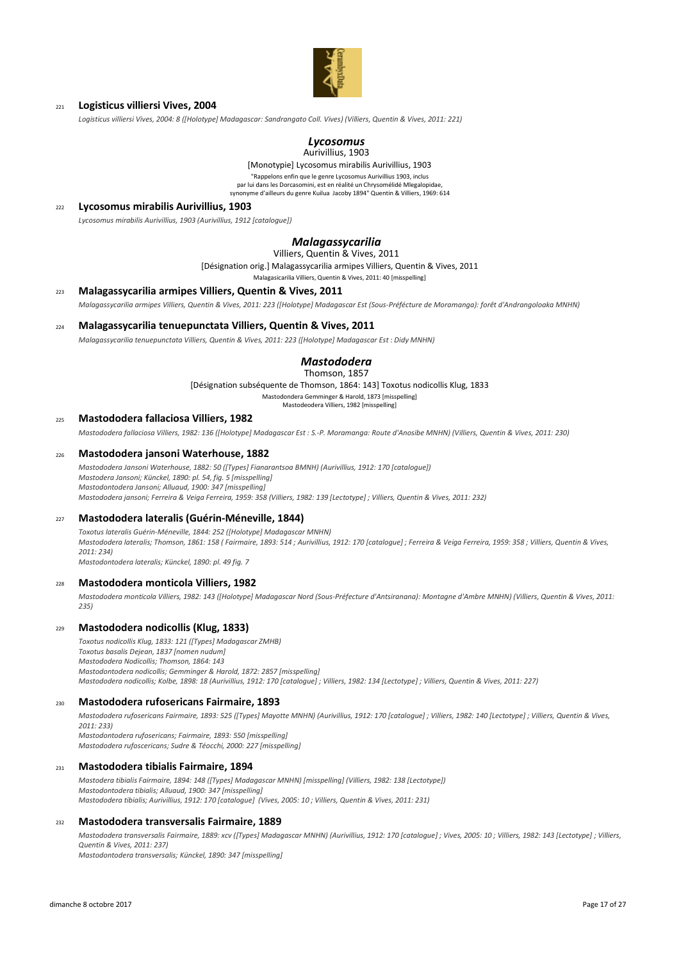

## <sup>221</sup> **Logisticus villiersi Vives, 2004**

*Logisticus villiersi Vives, 2004: 8 ([Holotype] Madagascar: Sandrangato Coll. Vives) (Villiers, Quentin & Vives, 2011: 221)*

#### *Lycosomus* Aurivillius, 1903

[Monotypie] Lycosomus mirabilis Aurivillius, 1903 "Rappelons enfin que le genre Lycosomus Aurivillius 1903, inclus par lui dans les Dorcasomini, est en réalité un Chrysomélidé Mlegalopidae synonyme d'ailleurs du genre Kuilua Jacoby 1894" Quentin & Villiers, 1969: 614

<sup>222</sup> **Lycosomus mirabilis Aurivillius, 1903**

*Lycosomus mirabilis Aurivillius, 1903 (Aurivillius, 1912 [catalogue])*

# *Malagassycarilia*

Villiers, Quentin & Vives, 2011

[Désignation orig.] Malagassycarilia armipes Villiers, Quentin & Vives, 2011

Malagasicarilia Villiers, Quentin & Vives, 2011: 40 [misspelling]

#### <sup>223</sup> **Malagassycarilia armipes Villiers, Quentin & Vives, 2011**

*Malagassycarilia armipes Villiers, Quentin & Vives, 2011: 223 ([Holotype] Madagascar Est (Sous-Préfécture de Moramanga): forêt d'Andrangoloaka MNHN)*

#### <sup>224</sup> **Malagassycarilia tenuepunctata Villiers, Quentin & Vives, 2011**

*Malagassycarilia tenuepunctata Villiers, Quentin & Vives, 2011: 223 ([Holotype] Madagascar Est : Didy MNHN)*

#### *Mastododera* Thomson, 1857

[Désignation subséquente de Thomson, 1864: 143] Toxotus nodicollis Klug, 1833

Mastodondera Gemminger & Harold, 1873 [misspelling]

Mastodeodera Villiers, 1982 [misspelling]

## <sup>225</sup> **Mastododera fallaciosa Villiers, 1982**

*Mastododera fallaciosa Villiers, 1982: 136 ([Holotype] Madagascar Est : S.-P. Moramanga: Route d'Anosibe MNHN) (Villiers, Quentin & Vives, 2011: 230)*

## <sup>226</sup> **Mastododera jansoni Waterhouse, 1882**

*Mastododera Jansoni Waterhouse, 1882: 50 ([Types] Fianarantsoa BMNH) (Aurivillius, 1912: 170 [catalogue]) Mastodera Jansoni; Künckel, 1890: pl. 54, fig. 5 [misspelling] Mastodontodera Jansoni; Alluaud, 1900: 347 [misspelling] Mastododera jansoni; Ferreira & Veiga Ferreira, 1959: 358 (Villiers, 1982: 139 [Lectotype] ; Villiers, Quentin & Vives, 2011: 232)*

#### <sup>227</sup> **Mastododera lateralis (Guérin-Méneville, 1844)**

*Toxotus lateralis Guérin-Méneville, 1844: 252 ([Holotype] Madagascar MNHN) Mastododera lateralis; Thomson, 1861: 158 ( Fairmaire, 1893: 514 ; Aurivillius, 1912: 170 [catalogue] ; Ferreira & Veiga Ferreira, 1959: 358 ; Villiers, Quentin & Vives, 2011: 234)*

*Mastodontodera lateralis; Künckel, 1890: pl. 49 fig. 7*

#### <sup>228</sup> **Mastododera monticola Villiers, 1982**

*Mastododera monticola Villiers, 1982: 143 ([Holotype] Madagascar Nord (Sous-Préfecture d'Antsiranana): Montagne d'Ambre MNHN) (Villiers, Quentin & Vives, 2011: 235)*

#### <sup>229</sup> **Mastododera nodicollis (Klug, 1833)**

*Toxotus nodicollis Klug, 1833: 121 ([Types] Madagascar ZMHB) Toxotus basalis Dejean, 1837 [nomen nudum] Mastododera Nodicollis; Thomson, 1864: 143 Mastodontodera nodicollis; Gemminger & Harold, 1872: 2857 [misspelling] Mastododera nodicollis; Kolbe, 1898: 18 (Aurivillius, 1912: 170 [catalogue] ; Villiers, 1982: 134 [Lectotype] ; Villiers, Quentin & Vives, 2011: 227)*

#### <sup>230</sup> **Mastododera rufosericans Fairmaire, 1893**

*Mastododera rufosericans Fairmaire, 1893: 525 ([Types] Mayotte MNHN) (Aurivillius, 1912: 170 [catalogue] ; Villiers, 1982: 140 [Lectotype] ; Villiers, Quentin & Vives, 2011: 233) Mastodontodera rufosericans; Fairmaire, 1893: 550 [misspelling]*

*Mastododera rufoscericans; Sudre & Téocchi, 2000: 227 [misspelling]*

### <sup>231</sup> **Mastododera tibialis Fairmaire, 1894**

*Mastodera tibialis Fairmaire, 1894: 148 ([Types] Madagascar MNHN) [misspelling] (Villiers, 1982: 138 [Lectotype]) Mastodontodera tibialis; Alluaud, 1900: 347 [misspelling] Mastododera tibialis; Aurivillius, 1912: 170 [catalogue] (Vives, 2005: 10 ; Villiers, Quentin & Vives, 2011: 231)*

#### <sup>232</sup> **Mastododera transversalis Fairmaire, 1889**

*Mastododera transversalis Fairmaire, 1889: xcv ([Types] Madagascar MNHN) (Aurivillius, 1912: 170 [catalogue] ; Vives, 2005: 10 ; Villiers, 1982: 143 [Lectotype] ; Villiers, Quentin & Vives, 2011: 237) Mastodontodera transversalis; Künckel, 1890: 347 [misspelling]*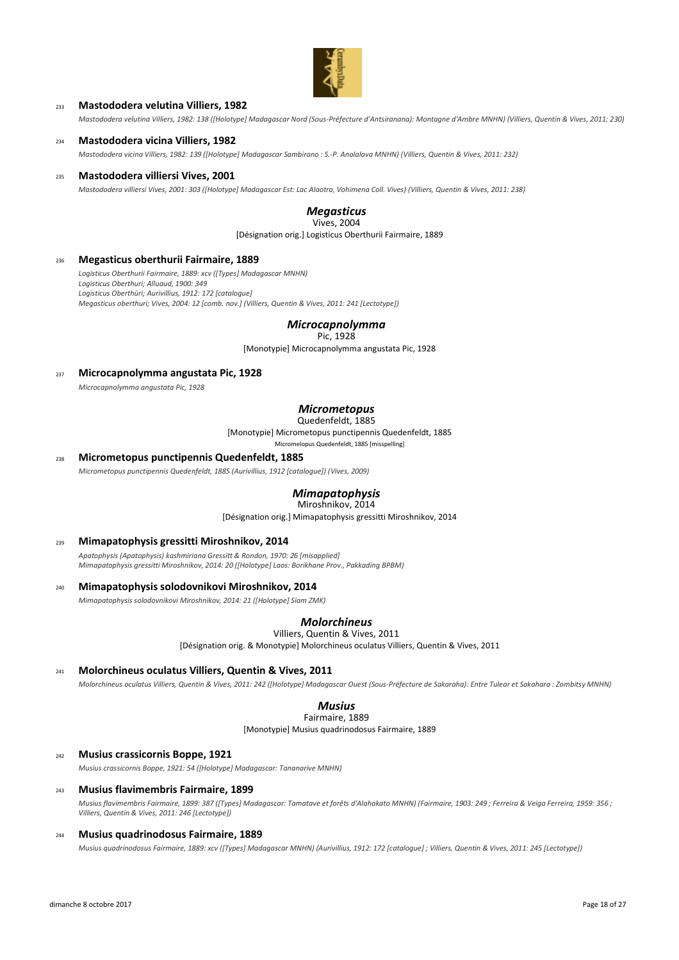

# <sup>233</sup> **Mastododera velutina Villiers, 1982**

*Mastododera velutina Villiers, 1982: 138 ([Holotype] Madagascar Nord (Sous-Préfecture d'Antsiranana): Montagne d'Ambre MNHN) (Villiers, Quentin & Vives, 2011: 230)*

#### <sup>234</sup> **Mastododera vicina Villiers, 1982**

*Mastododera vicina Villiers, 1982: 139 ([Holotype] Madagascar Sambirano : S.-P. Analalava MNHN) (Villiers, Quentin & Vives, 2011: 232)*

### <sup>235</sup> **Mastododera villiersi Vives, 2001**

*Mastododera villiersi Vives, 2001: 303 ([Holotype] Madagascar Est: Lac Alaotra, Vohimena Coll. Vives) (Villiers, Quentin & Vives, 2011: 238)*

# *Megasticus*

[Désignation orig.] Logisticus Oberthurii Fairmaire, 1889 Vives, 2004

#### <sup>236</sup> **Megasticus oberthurii Fairmaire, 1889**

*Logisticus Oberthurii Fairmaire, 1889: xcv ([Types] Madagascar MNHN) Logisticus Oberthuri; Alluaud, 1900: 349 Logisticus Oberthüri; Aurivillius, 1912: 172 [catalogue] Megasticus oberthuri; Vives, 2004: 12 [comb. nov.] (Villiers, Quentin & Vives, 2011: 241 [Lectotype])*

# *Microcapnolymma*

Pic, 1928

[Monotypie] Microcapnolymma angustata Pic, 1928

# <sup>237</sup> **Microcapnolymma angustata Pic, 1928**

*Microcapnolymma angustata Pic, 1928*

# *Micrometopus*

[Monotypie] Micrometopus punctipennis Quedenfeldt, 1885 Quedenfeldt, 1885

Micromelopus Quedenfeldt, 1885 [misspelling]

#### <sup>238</sup> **Micrometopus punctipennis Quedenfeldt, 1885**

*Micrometopus punctipennis Quedenfeldt, 1885 (Aurivillius, 1912 [catalogue]) (Vives, 2009)*

# *Mimapatophysis*

[Désignation orig.] Mimapatophysis gressitti Miroshnikov, 2014 Miroshnikov, 2014

# <sup>239</sup> **Mimapatophysis gressitti Miroshnikov, 2014**

*Apatophysis (Apatophysis) kashmiriana Gressitt & Rondon, 1970: 26 [misapplied] Mimapatophysis gressitti Miroshnikov, 2014: 20 ([Holotype] Laos: Borikhane Prov., Pakkading BPBM)*

#### <sup>240</sup> **Mimapatophysis solodovnikovi Miroshnikov, 2014**

*Mimapatophysis solodovnikovi Miroshnikov, 2014: 21 ([Holotype] Siam ZMK)*

# *Molorchineus*

Villiers, Quentin & Vives, 2011

[Désignation orig. & Monotypie] Molorchineus oculatus Villiers, Quentin & Vives, 2011

# <sup>241</sup> **Molorchineus oculatus Villiers, Quentin & Vives, 2011**

*Molorchineus oculatus Villiers, Quentin & Vives, 2011: 242 ([Holotype] Madagascar Ouest (Sous-Préfecture de Sakaraha): Entre Tulear et Sakahara : Zombitsy MNHN)*

# *Musius*

Fairmaire, 1889

[Monotypie] Musius quadrinodosus Fairmaire, 1889

# <sup>242</sup> **Musius crassicornis Boppe, 1921**

*Musius crassicornis Boppe, 1921: 54 ([Holotype] Madagascar: Tananarive MNHN)*

# <sup>243</sup> **Musius flavimembris Fairmaire, 1899**

*Musius flavimembris Fairmaire, 1899: 387 ([Types] Madagascar: Tamatave et forêts d'Alahakato MNHN) (Fairmaire, 1903: 249 ; Ferreira & Veiga Ferreira, 1959: 356 ; Villiers, Quentin & Vives, 2011: 246 [Lectotype])*

#### <sup>244</sup> **Musius quadrinodosus Fairmaire, 1889**

*Musius quadrinodosus Fairmaire, 1889: xcv ([Types] Madagascar MNHN) (Aurivillius, 1912: 172 [catalogue] ; Villiers, Quentin & Vives, 2011: 245 [Lectotype])*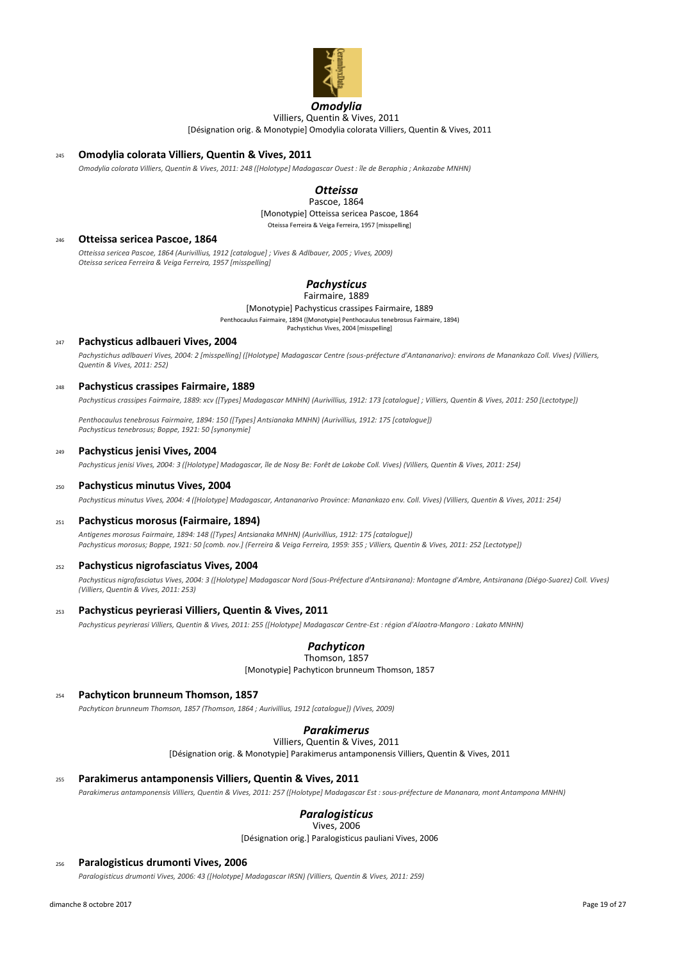

# *Omodylia*

[Désignation orig. & Monotypie] Omodylia colorata Villiers, Quentin & Vives, 2011 Villiers, Quentin & Vives, 2011

# <sup>245</sup> **Omodylia colorata Villiers, Quentin & Vives, 2011**

*Omodylia colorata Villiers, Quentin & Vives, 2011: 248 ([Holotype] Madagascar Ouest : île de Beraphia ; Ankazabe MNHN)*

# *Otteissa*

Pascoe, 1864

[Monotypie] Otteissa sericea Pascoe, 1864 Oteissa Ferreira & Veiga Ferreira, 1957 [misspelling]

#### <sup>246</sup> **Otteissa sericea Pascoe, 1864**

*Otteissa sericea Pascoe, 1864 (Aurivillius, 1912 [catalogue] ; Vives & Adlbauer, 2005 ; Vives, 2009) Oteissa sericea Ferreira & Veiga Ferreira, 1957 [misspelling]*

# *Pachysticus*

[Monotypie] Pachysticus crassipes Fairmaire, 1889 Penthocaulus Fairmaire, 1894 ([Monotypie] Penthocaulus tenebrosus Fairmaire, 1894) Pachystichus Vives, 2004 [misspelling] Fairmaire, 1889

#### <sup>247</sup> **Pachysticus adlbaueri Vives, 2004**

*Pachystichus adlbaueri Vives, 2004: 2 [misspelling] ([Holotype] Madagascar Centre (sous-préfecture d'Antananarivo): environs de Manankazo Coll. Vives) (Villiers, Quentin & Vives, 2011: 252)*

#### <sup>248</sup> **Pachysticus crassipes Fairmaire, 1889**

*Pachysticus crassipes Fairmaire, 1889: xcv ([Types] Madagascar MNHN) (Aurivillius, 1912: 173 [catalogue] ; Villiers, Quentin & Vives, 2011: 250 [Lectotype])*

*Penthocaulus tenebrosus Fairmaire, 1894: 150 ([Types] Antsianaka MNHN) (Aurivillius, 1912: 175 [catalogue]) Pachysticus tenebrosus; Boppe, 1921: 50 [synonymie]*

#### <sup>249</sup> **Pachysticus jenisi Vives, 2004**

*Pachysticus jenisi Vives, 2004: 3 ([Holotype] Madagascar, île de Nosy Be: Forêt de Lakobe Coll. Vives) (Villiers, Quentin & Vives, 2011: 254)*

#### <sup>250</sup> **Pachysticus minutus Vives, 2004**

*Pachysticus minutus Vives, 2004: 4 ([Holotype] Madagascar, Antananarivo Province: Manankazo env. Coll. Vives) (Villiers, Quentin & Vives, 2011: 254)*

## <sup>251</sup> **Pachysticus morosus (Fairmaire, 1894)**

*Antigenes morosus Fairmaire, 1894: 148 ([Types] Antsianaka MNHN) (Aurivillius, 1912: 175 [catalogue]) Pachysticus morosus; Boppe, 1921: 50 [comb. nov.] (Ferreira & Veiga Ferreira, 1959: 355 ; Villiers, Quentin & Vives, 2011: 252 [Lectotype])*

## <sup>252</sup> **Pachysticus nigrofasciatus Vives, 2004**

*Pachysticus nigrofasciatus Vives, 2004: 3 ([Holotype] Madagascar Nord (Sous-Préfecture d'Antsiranana): Montagne d'Ambre, Antsiranana (Diégo-Suarez) Coll. Vives) (Villiers, Quentin & Vives, 2011: 253)*

#### <sup>253</sup> **Pachysticus peyrierasi Villiers, Quentin & Vives, 2011**

*Pachysticus peyrierasi Villiers, Quentin & Vives, 2011: 255 ([Holotype] Madagascar Centre-Est : région d'Alaotra-Mangoro : Lakato MNHN)*

# *Pachyticon*

[Monotypie] Pachyticon brunneum Thomson, 1857 Thomson, 1857

## <sup>254</sup> **Pachyticon brunneum Thomson, 1857**

*Pachyticon brunneum Thomson, 1857 (Thomson, 1864 ; Aurivillius, 1912 [catalogue]) (Vives, 2009)*

# *Parakimerus*

[Désignation orig. & Monotypie] Parakimerus antamponensis Villiers, Quentin & Vives, 2011 Villiers, Quentin & Vives, 2011

# <sup>255</sup> **Parakimerus antamponensis Villiers, Quentin & Vives, 2011**

*Parakimerus antamponensis Villiers, Quentin & Vives, 2011: 257 ([Holotype] Madagascar Est : sous-préfecture de Mananara, mont Antampona MNHN)*

# *Paralogisticus*

[Désignation orig.] Paralogisticus pauliani Vives, 2006 Vives, 2006

#### <sup>256</sup> **Paralogisticus drumonti Vives, 2006**

*Paralogisticus drumonti Vives, 2006: 43 ([Holotype] Madagascar IRSN) (Villiers, Quentin & Vives, 2011: 259)*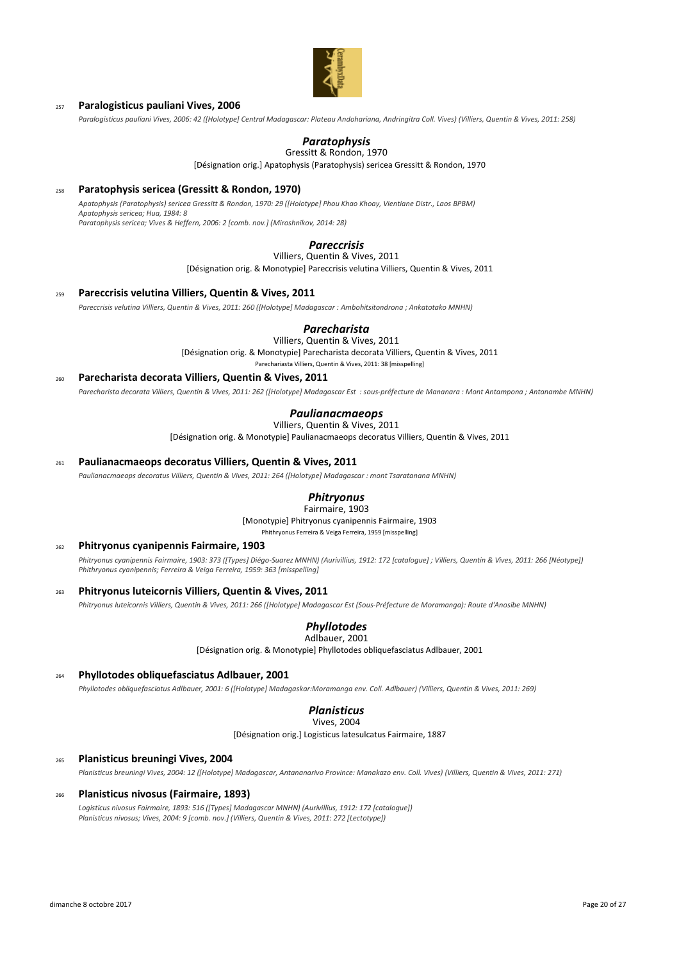

# <sup>257</sup> **Paralogisticus pauliani Vives, 2006**

*Paralogisticus pauliani Vives, 2006: 42 ([Holotype] Central Madagascar: Plateau Andohariana, Andringitra Coll. Vives) (Villiers, Quentin & Vives, 2011: 258)*

# *Paratophysis*

Gressitt & Rondon, 1970

[Désignation orig.] Apatophysis (Paratophysis) sericea Gressitt & Rondon, 1970

# <sup>258</sup> **Paratophysis sericea (Gressitt & Rondon, 1970)**

*Apatophysis (Paratophysis) sericea Gressitt & Rondon, 1970: 29 ([Holotype] Phou Khao Khoay, Vientiane Distr., Laos BPBM) Apatophysis sericea; Hua, 1984: 8 Paratophysis sericea; Vives & Heffern, 2006: 2 [comb. nov.] (Miroshnikov, 2014: 28)*

# *Pareccrisis*

Villiers, Quentin & Vives, 2011

[Désignation orig. & Monotypie] Pareccrisis velutina Villiers, Quentin & Vives, 2011

#### <sup>259</sup> **Pareccrisis velutina Villiers, Quentin & Vives, 2011**

*Pareccrisis velutina Villiers, Quentin & Vives, 2011: 260 ([Holotype] Madagascar : Ambohitsitondrona ; Ankatotako MNHN)*

# *Parecharista*

[Désignation orig. & Monotypie] Parecharista decorata Villiers, Quentin & Vives, 2011 Villiers, Quentin & Vives, 2011

Parechariasta Villiers, Quentin & Vives, 2011: 38 [misspelling]

#### <sup>260</sup> **Parecharista decorata Villiers, Quentin & Vives, 2011**

*Parecharista decorata Villiers, Quentin & Vives, 2011: 262 ([Holotype] Madagascar Est : sous-préfecture de Mananara : Mont Antampona ; Antanambe MNHN)*

# *Paulianacmaeops*

[Désignation orig. & Monotypie] Paulianacmaeops decoratus Villiers, Quentin & Vives, 2011 Villiers, Quentin & Vives, 2011

<sup>261</sup> **Paulianacmaeops decoratus Villiers, Quentin & Vives, 2011**

*Paulianacmaeops decoratus Villiers, Quentin & Vives, 2011: 264 ([Holotype] Madagascar : mont Tsaratanana MNHN)*

#### *Phitryonus* Fairmaire, 1903

[Monotypie] Phitryonus cyanipennis Fairmaire, 1903

Phithryonus Ferreira & Veiga Ferreira, 1959 [misspelling]

# <sup>262</sup> **Phitryonus cyanipennis Fairmaire, 1903**

*Phitryonus cyanipennis Fairmaire, 1903: 373 ([Types] Diégo-Suarez MNHN) (Aurivillius, 1912: 172 [catalogue] ; Villiers, Quentin & Vives, 2011: 266 [Néotype]) Phithryonus cyanipennis; Ferreira & Veiga Ferreira, 1959: 363 [misspelling]*

<sup>263</sup> **Phitryonus luteicornis Villiers, Quentin & Vives, 2011**

*Phitryonus luteicornis Villiers, Quentin & Vives, 2011: 266 ([Holotype] Madagascar Est (Sous-Préfecture de Moramanga): Route d'Anosibe MNHN)*

#### *Phyllotodes* Adlbauer, 2001

[Désignation orig. & Monotypie] Phyllotodes obliquefasciatus Adlbauer, 2001

## <sup>264</sup> **Phyllotodes obliquefasciatus Adlbauer, 2001**

*Phyllotodes obliquefasciatus Adlbauer, 2001: 6 ([Holotype] Madagaskar:Moramanga env. Coll. Adlbauer) (Villiers, Quentin & Vives, 2011: 269)*

# *Planisticus*

[Désignation orig.] Logisticus latesulcatus Fairmaire, 1887 Vives, 2004

#### <sup>265</sup> **Planisticus breuningi Vives, 2004**

*Planisticus breuningi Vives, 2004: 12 ([Holotype] Madagascar, Antananarivo Province: Manakazo env. Coll. Vives) (Villiers, Quentin & Vives, 2011: 271)*

# <sup>266</sup> **Planisticus nivosus (Fairmaire, 1893)**

*Logisticus nivosus Fairmaire, 1893: 516 ([Types] Madagascar MNHN) (Aurivillius, 1912: 172 [catalogue]) Planisticus nivosus; Vives, 2004: 9 [comb. nov.] (Villiers, Quentin & Vives, 2011: 272 [Lectotype])*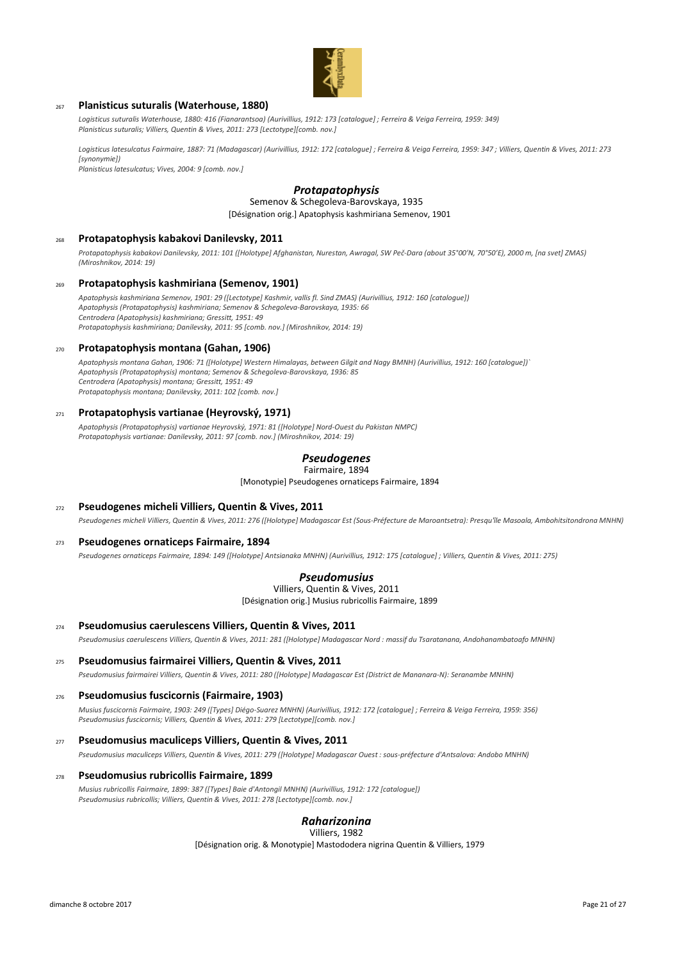

## <sup>267</sup> **Planisticus suturalis (Waterhouse, 1880)**

*Logisticus suturalis Waterhouse, 1880: 416 (Fianarantsoa) (Aurivillius, 1912: 173 [catalogue] ; Ferreira & Veiga Ferreira, 1959: 349) Planisticus suturalis; Villiers, Quentin & Vives, 2011: 273 [Lectotype][comb. nov.]*

*Logisticus latesulcatus Fairmaire, 1887: 71 (Madagascar) (Aurivillius, 1912: 172 [catalogue] ; Ferreira & Veiga Ferreira, 1959: 347 ; Villiers, Quentin & Vives, 2011: 273 [synonymie])*

*Planisticus latesulcatus; Vives, 2004: 9 [comb. nov.]*

# *Protapatophysis*

[Désignation orig.] Apatophysis kashmiriana Semenov, 1901 Semenov & Schegoleva-Barovskaya, 1935

## <sup>268</sup> **Protapatophysis kabakovi Danilevsky, 2011**

*Protapatophysis kabakovi Danilevsky, 2011: 101 ([Holotype] Afghanistan, Nurestan, Awragal, SW Peč-Dara (about 35°00'N, 70°50'E), 2000 m, [na svet] ZMAS) (Miroshnikov, 2014: 19)*

#### <sup>269</sup> **Protapatophysis kashmiriana (Semenov, 1901)**

*Apatophysis kashmiriana Semenov, 1901: 29 ([Lectotype] Kashmir, vallis fl. Sind ZMAS) (Aurivillius, 1912: 160 [catalogue]) Apatophysis (Protapatophysis) kashmiriana; Semenov & Schegoleva-Barovskaya, 1935: 66 Centrodera (Apatophysis) kashmiriana; Gressitt, 1951: 49 Protapatophysis kashmiriana; Danilevsky, 2011: 95 [comb. nov.] (Miroshnikov, 2014: 19)*

#### <sup>270</sup> **Protapatophysis montana (Gahan, 1906)**

*Apatophysis montana Gahan, 1906: 71 ([Holotype] Western Himalayas, between Gilgit and Nagy BMNH) (Aurivillius, 1912: 160 [catalogue])` Apatophysis (Protapatophysis) montana; Semenov & Schegoleva-Barovskaya, 1936: 85 Centrodera (Apatophysis) montana; Gressitt, 1951: 49 Protapatophysis montana; Danilevsky, 2011: 102 [comb. nov.]*

#### <sup>271</sup> **Protapatophysis vartianae (Heyrovský, 1971)**

*Apatophysis (Protapatophysis) vartianae Heyrovský, 1971: 81 ([Holotype] Nord-Ouest du Pakistan NMPC) Protapatophysis vartianae: Danilevsky, 2011: 97 [comb. nov.] (Miroshnikov, 2014: 19)*

# *Pseudogenes*

[Monotypie] Pseudogenes ornaticeps Fairmaire, 1894 Fairmaire, 1894

# <sup>272</sup> **Pseudogenes micheli Villiers, Quentin & Vives, 2011**

*Pseudogenes micheli Villiers, Quentin & Vives, 2011: 276 ([Holotype] Madagascar Est (Sous-Préfecture de Maroantsetra): Presqu'île Masoala, Ambohitsitondrona MNHN)*

## <sup>273</sup> **Pseudogenes ornaticeps Fairmaire, 1894**

*Pseudogenes ornaticeps Fairmaire, 1894: 149 ([Holotype] Antsianaka MNHN) (Aurivillius, 1912: 175 [catalogue] ; Villiers, Quentin & Vives, 2011: 275)*

## *Pseudomusius*

Villiers, Quentin & Vives, 2011

[Désignation orig.] Musius rubricollis Fairmaire, 1899

#### <sup>274</sup> **Pseudomusius caerulescens Villiers, Quentin & Vives, 2011**

*Pseudomusius caerulescens Villiers, Quentin & Vives, 2011: 281 ([Holotype] Madagascar Nord : massif du Tsaratanana, Andohanambatoafo MNHN)*

## <sup>275</sup> **Pseudomusius fairmairei Villiers, Quentin & Vives, 2011**

*Pseudomusius fairmairei Villiers, Quentin & Vives, 2011: 280 ([Holotype] Madagascar Est (District de Mananara-N): Seranambe MNHN)*

#### <sup>276</sup> **Pseudomusius fuscicornis (Fairmaire, 1903)**

*Musius fuscicornis Fairmaire, 1903: 249 ([Types] Diégo-Suarez MNHN) (Aurivillius, 1912: 172 [catalogue] ; Ferreira & Veiga Ferreira, 1959: 356) Pseudomusius fuscicornis; Villiers, Quentin & Vives, 2011: 279 [Lectotype][comb. nov.]*

<sup>277</sup> **Pseudomusius maculiceps Villiers, Quentin & Vives, 2011**

*Pseudomusius maculiceps Villiers, Quentin & Vives, 2011: 279 ([Holotype] Madagascar Ouest : sous-préfecture d'Antsalova: Andobo MNHN)*

#### <sup>278</sup> **Pseudomusius rubricollis Fairmaire, 1899**

*Musius rubricollis Fairmaire, 1899: 387 ([Types] Baie d'Antongil MNHN) (Aurivillius, 1912: 172 [catalogue]) Pseudomusius rubricollis; Villiers, Quentin & Vives, 2011: 278 [Lectotype][comb. nov.]*

#### *Raharizonina* Villiers, 1982

[Désignation orig. & Monotypie] Mastododera nigrina Quentin & Villiers, 1979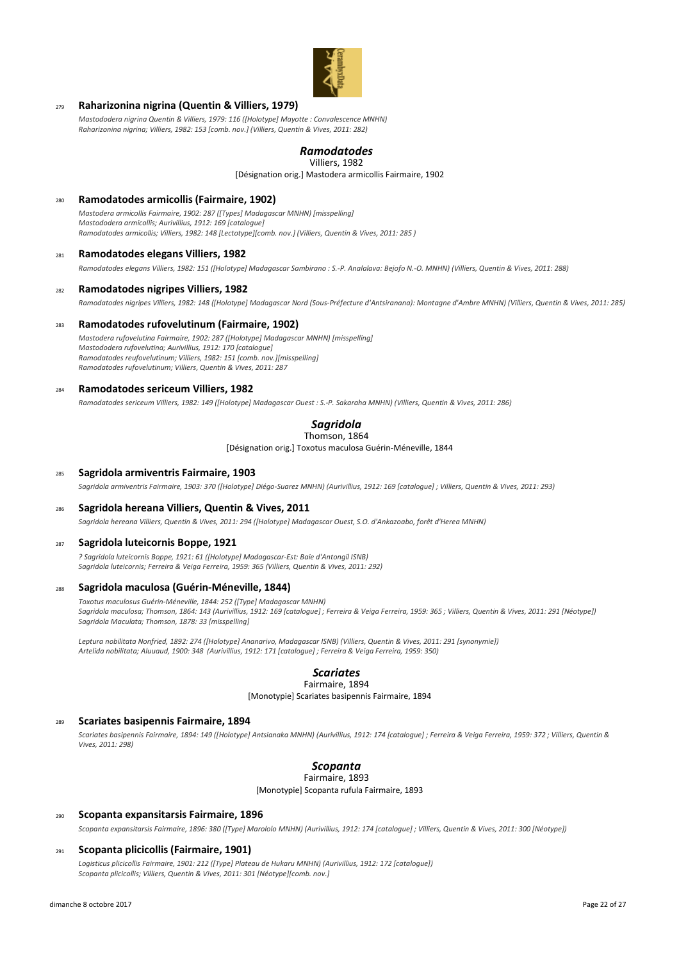

# <sup>279</sup> **Raharizonina nigrina (Quentin & Villiers, 1979)**

*Mastododera nigrina Quentin & Villiers, 1979: 116 ([Holotype] Mayotte : Convalescence MNHN) Raharizonina nigrina; Villiers, 1982: 153 [comb. nov.] (Villiers, Quentin & Vives, 2011: 282)*

## *Ramodatodes* Villiers, 1982

[Désignation orig.] Mastodera armicollis Fairmaire, 1902

## <sup>280</sup> **Ramodatodes armicollis (Fairmaire, 1902)**

*Mastodera armicollis Fairmaire, 1902: 287 ([Types] Madagascar MNHN) [misspelling] Mastododera armicollis; Aurivillius, 1912: 169 [catalogue] Ramodatodes armicollis; Villiers, 1982: 148 [Lectotype][comb. nov.] (Villiers, Quentin & Vives, 2011: 285 )*

## <sup>281</sup> **Ramodatodes elegans Villiers, 1982**

*Ramodatodes elegans Villiers, 1982: 151 ([Holotype] Madagascar Sambirano : S.-P. Analalava: Bejofo N.-O. MNHN) (Villiers, Quentin & Vives, 2011: 288)*

### <sup>282</sup> **Ramodatodes nigripes Villiers, 1982**

*Ramodatodes nigripes Villiers, 1982: 148 ([Holotype] Madagascar Nord (Sous-Préfecture d'Antsiranana): Montagne d'Ambre MNHN) (Villiers, Quentin & Vives, 2011: 285)*

#### <sup>283</sup> **Ramodatodes rufovelutinum (Fairmaire, 1902)**

*Mastodera rufovelutina Fairmaire, 1902: 287 ([Holotype] Madagascar MNHN) [misspelling] Mastododera rufovelutina; Aurivillius, 1912: 170 [catalogue] Ramodatodes reufovelutinum; Villiers, 1982: 151 [comb. nov.][misspelling] Ramodatodes rufovelutinum; Villiers, Quentin & Vives, 2011: 287*

#### <sup>284</sup> **Ramodatodes sericeum Villiers, 1982**

*Ramodatodes sericeum Villiers, 1982: 149 ([Holotype] Madagascar Ouest : S.-P. Sakaraha MNHN) (Villiers, Quentin & Vives, 2011: 286)*

#### *Sagridola* Thomson, 1864

[Désignation orig.] Toxotus maculosa Guérin-Méneville, 1844

#### <sup>285</sup> **Sagridola armiventris Fairmaire, 1903**

*Sagridola armiventris Fairmaire, 1903: 370 ([Holotype] Diégo-Suarez MNHN) (Aurivillius, 1912: 169 [catalogue] ; Villiers, Quentin & Vives, 2011: 293)*

#### <sup>286</sup> **Sagridola hereana Villiers, Quentin & Vives, 2011**

*Sagridola hereana Villiers, Quentin & Vives, 2011: 294 ([Holotype] Madagascar Ouest, S.O. d'Ankazoabo, forêt d'Herea MNHN)*

#### <sup>287</sup> **Sagridola luteicornis Boppe, 1921**

*? Sagridola luteicornis Boppe, 1921: 61 ([Holotype] Madagascar-Est: Baie d'Antongil ISNB) Sagridola luteicornis; Ferreira & Veiga Ferreira, 1959: 365 (Villiers, Quentin & Vives, 2011: 292)*

#### <sup>288</sup> **Sagridola maculosa (Guérin-Méneville, 1844)**

*Toxotus maculosus Guérin-Méneville, 1844: 252 ([Type] Madagascar MNHN) Sagridola maculosa; Thomson, 1864: 143 (Aurivillius, 1912: 169 [catalogue] ; Ferreira & Veiga Ferreira, 1959: 365 ; Villiers, Quentin & Vives, 2011: 291 [Néotype]) Sagridola Maculata; Thomson, 1878: 33 [misspelling]*

*Leptura nobilitata Nonfried, 1892: 274 ([Holotype] Ananarivo, Madagascar ISNB) (Villiers, Quentin & Vives, 2011: 291 [synonymie]) Artelida nobilitata; Aluuaud, 1900: 348 (Aurivillius, 1912: 171 [catalogue] ; Ferreira & Veiga Ferreira, 1959: 350)*

# *Scariates*

# Fairmaire, 1894

[Monotypie] Scariates basipennis Fairmaire, 1894

#### <sup>289</sup> **Scariates basipennis Fairmaire, 1894**

*Scariates basipennis Fairmaire, 1894: 149 ([Holotype] Antsianaka MNHN) (Aurivillius, 1912: 174 [catalogue] ; Ferreira & Veiga Ferreira, 1959: 372 ; Villiers, Quentin & Vives, 2011: 298)*

#### *Scopanta* Fairmaire, 1893

[Monotypie] Scopanta rufula Fairmaire, 1893

#### <sup>290</sup> **Scopanta expansitarsis Fairmaire, 1896**

*Scopanta expansitarsis Fairmaire, 1896: 380 ([Type] Marololo MNHN) (Aurivillius, 1912: 174 [catalogue] ; Villiers, Quentin & Vives, 2011: 300 [Néotype])*

### <sup>291</sup> **Scopanta plicicollis (Fairmaire, 1901)**

*Logisticus plicicollis Fairmaire, 1901: 212 ([Type] Plateau de Hukaru MNHN) (Aurivillius, 1912: 172 [catalogue]) Scopanta plicicollis; Villiers, Quentin & Vives, 2011: 301 [Néotype][comb. nov.]*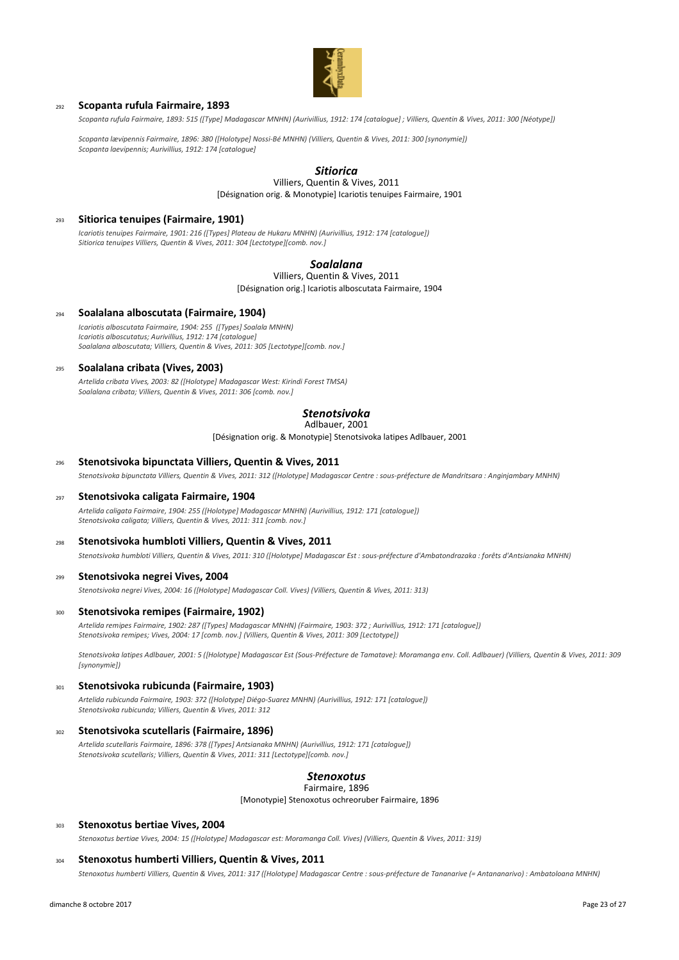

## <sup>292</sup> **Scopanta rufula Fairmaire, 1893**

*Scopanta rufula Fairmaire, 1893: 515 ([Type] Madagascar MNHN) (Aurivillius, 1912: 174 [catalogue] ; Villiers, Quentin & Vives, 2011: 300 [Néotype])*

*Scopanta lævipennis Fairmaire, 1896: 380 ([Holotype] Nossi-Bé MNHN) (Villiers, Quentin & Vives, 2011: 300 [synonymie]) Scopanta laevipennis; Aurivillius, 1912: 174 [catalogue]*

# *Sitiorica*

[Désignation orig. & Monotypie] Icariotis tenuipes Fairmaire, 1901 Villiers, Quentin & Vives, 2011

## <sup>293</sup> **Sitiorica tenuipes (Fairmaire, 1901)**

*Icariotis tenuipes Fairmaire, 1901: 216 ([Types] Plateau de Hukaru MNHN) (Aurivillius, 1912: 174 [catalogue]) Sitiorica tenuipes Villiers, Quentin & Vives, 2011: 304 [Lectotype][comb. nov.]*

## *Soalalana*

[Désignation orig.] Icariotis alboscutata Fairmaire, 1904 Villiers, Quentin & Vives, 2011

# <sup>294</sup> **Soalalana alboscutata (Fairmaire, 1904)**

*Icariotis alboscutata Fairmaire, 1904: 255 ([Types] Soalala MNHN) Icariotis alboscutatus; Aurivillius, 1912: 174 [catalogue] Soalalana alboscutata; Villiers, Quentin & Vives, 2011: 305 [Lectotype][comb. nov.]*

## <sup>295</sup> **Soalalana cribata (Vives, 2003)**

*Artelida cribata Vives, 2003: 82 ([Holotype] Madagascar West: Kirindi Forest TMSA) Soalalana cribata; Villiers, Quentin & Vives, 2011: 306 [comb. nov.]*

# *Stenotsivoka*

Adlbauer, 2001

[Désignation orig. & Monotypie] Stenotsivoka latipes Adlbauer, 2001

#### <sup>296</sup> **Stenotsivoka bipunctata Villiers, Quentin & Vives, 2011**

*Stenotsivoka bipunctata Villiers, Quentin & Vives, 2011: 312 ([Holotype] Madagascar Centre : sous-préfecture de Mandritsara : Anginjambary MNHN)*

### <sup>297</sup> **Stenotsivoka caligata Fairmaire, 1904**

*Artelida caligata Fairmaire, 1904: 255 ([Holotype] Madagascar MNHN) (Aurivillius, 1912: 171 [catalogue]) Stenotsivoka caligata; Villiers, Quentin & Vives, 2011: 311 [comb. nov.]*

## <sup>298</sup> **Stenotsivoka humbloti Villiers, Quentin & Vives, 2011**

*Stenotsivoka humbloti Villiers, Quentin & Vives, 2011: 310 ([Holotype] Madagascar Est : sous-préfecture d'Ambatondrazaka : forêts d'Antsianaka MNHN)*

#### <sup>299</sup> **Stenotsivoka negrei Vives, 2004**

*Stenotsivoka negrei Vives, 2004: 16 ([Holotype] Madagascar Coll. Vives) (Villiers, Quentin & Vives, 2011: 313)*

#### <sup>300</sup> **Stenotsivoka remipes (Fairmaire, 1902)**

*Artelida remipes Fairmaire, 1902: 287 ([Types] Madagascar MNHN) (Fairmaire, 1903: 372 ; Aurivillius, 1912: 171 [catalogue]) Stenotsivoka remipes; Vives, 2004: 17 [comb. nov.] (Villiers, Quentin & Vives, 2011: 309 [Lectotype])*

*Stenotsivoka latipes Adlbauer, 2001: 5 ([Holotype] Madagascar Est (Sous-Préfecture de Tamatave): Moramanga env. Coll. Adlbauer) (Villiers, Quentin & Vives, 2011: 309 [synonymie])*

#### <sup>301</sup> **Stenotsivoka rubicunda (Fairmaire, 1903)**

*Artelida rubicunda Fairmaire, 1903: 372 ([Holotype] Diégo-Suarez MNHN) (Aurivillius, 1912: 171 [catalogue]) Stenotsivoka rubicunda; Villiers, Quentin & Vives, 2011: 312*

#### <sup>302</sup> **Stenotsivoka scutellaris (Fairmaire, 1896)**

*Artelida scutellaris Fairmaire, 1896: 378 ([Types] Antsianaka MNHN) (Aurivillius, 1912: 171 [catalogue]) Stenotsivoka scutellaris; Villiers, Quentin & Vives, 2011: 311 [Lectotype][comb. nov.]*

#### *Stenoxotus* Fairmaire, 1896

[Monotypie] Stenoxotus ochreoruber Fairmaire, 1896

#### <sup>303</sup> **Stenoxotus bertiae Vives, 2004**

*Stenoxotus bertiae Vives, 2004: 15 ([Holotype] Madagascar est: Moramanga Coll. Vives) (Villiers, Quentin & Vives, 2011: 319)*

#### <sup>304</sup> **Stenoxotus humberti Villiers, Quentin & Vives, 2011**

*Stenoxotus humberti Villiers, Quentin & Vives, 2011: 317 ([Holotype] Madagascar Centre : sous-préfecture de Tananarive (= Antananarivo) : Ambatoloana MNHN)*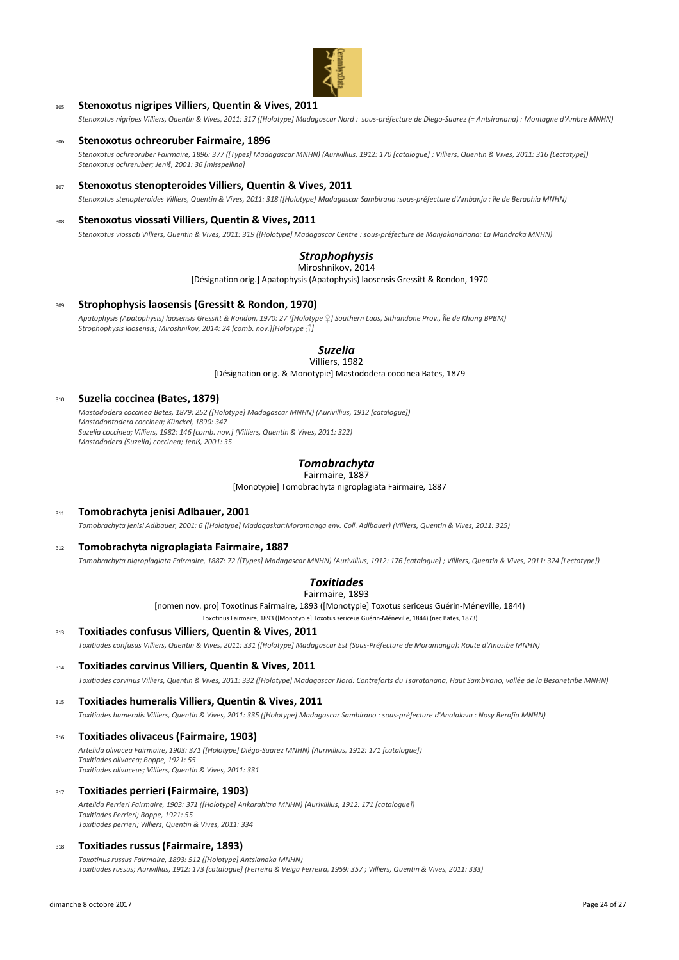

# <sup>305</sup> **Stenoxotus nigripes Villiers, Quentin & Vives, 2011**

*Stenoxotus nigripes Villiers, Quentin & Vives, 2011: 317 ([Holotype] Madagascar Nord : sous-préfecture de Diego-Suarez (= Antsiranana) : Montagne d'Ambre MNHN)*

#### <sup>306</sup> **Stenoxotus ochreoruber Fairmaire, 1896**

*Stenoxotus ochreoruber Fairmaire, 1896: 377 ([Types] Madagascar MNHN) (Aurivillius, 1912: 170 [catalogue] ; Villiers, Quentin & Vives, 2011: 316 [Lectotype]) Stenoxotus ochreruber; Jeniš, 2001: 36 [misspelling]*

## <sup>307</sup> **Stenoxotus stenopteroides Villiers, Quentin & Vives, 2011**

*Stenoxotus stenopteroides Villiers, Quentin & Vives, 2011: 318 ([Holotype] Madagascar Sambirano :sous-préfecture d'Ambanja : île de Beraphia MNHN)*

#### Stenoxotus viossati Villiers, Quentin & Vives, 2011

*Stenoxotus viossati Villiers, Quentin & Vives, 2011: 319 ([Holotype] Madagascar Centre : sous-préfecture de Manjakandriana: La Mandraka MNHN)*

# *Strophophysis*

## Miroshnikov, 2014

[Désignation orig.] Apatophysis (Apatophysis) laosensis Gressitt & Rondon, 1970

#### <sup>309</sup> **Strophophysis laosensis (Gressitt & Rondon, 1970)**

*Apatophysis (Apatophysis) laosensis Gressitt & Rondon, 1970: 27 ([Holotype ♀] Southern Laos, Sithandone Prov., Île de Khong BPBM) Strophophysis laosensis; Miroshnikov, 2014: 24 [comb. nov.][Holotype ♂]*

# *Suzelia*

[Désignation orig. & Monotypie] Mastododera coccinea Bates, 1879 Villiers, 1982

## <sup>310</sup> **Suzelia coccinea (Bates, 1879)**

*Mastododera coccinea Bates, 1879: 252 ([Holotype] Madagascar MNHN) (Aurivillius, 1912 [catalogue]) Mastodontodera coccinea; Künckel, 1890: 347 Suzelia coccinea; Villiers, 1982: 146 [comb. nov.] (Villiers, Quentin & Vives, 2011: 322) Mastododera (Suzelia) coccinea; Jeniš, 2001: 35*

# *Tomobrachyta*

Fairmaire, 1887

[Monotypie] Tomobrachyta nigroplagiata Fairmaire, 1887

# <sup>311</sup> **Tomobrachyta jenisi Adlbauer, 2001**

*Tomobrachyta jenisi Adlbauer, 2001: 6 ([Holotype] Madagaskar:Moramanga env. Coll. Adlbauer) (Villiers, Quentin & Vives, 2011: 325)*

## <sup>312</sup> **Tomobrachyta nigroplagiata Fairmaire, 1887**

*Tomobrachyta nigroplagiata Fairmaire, 1887: 72 ([Types] Madagascar MNHN) (Aurivillius, 1912: 176 [catalogue] ; Villiers, Quentin & Vives, 2011: 324 [Lectotype])*

#### *Toxitiades* Fairmaire, 1893

[nomen nov. pro] Toxotinus Fairmaire, 1893 ([Monotypie] Toxotus sericeus Guérin-Méneville, 1844) Toxotinus Fairmaire, 1893 ([Monotypie] Toxotus sericeus Guérin-Méneville, 1844) (nec Bates, 1873)

<sup>313</sup> **Toxitiades confusus Villiers, Quentin & Vives, 2011**

*Toxitiades confusus Villiers, Quentin & Vives, 2011: 331 ([Holotype] Madagascar Est (Sous-Préfecture de Moramanga): Route d'Anosibe MNHN)*

<sup>314</sup> **Toxitiades corvinus Villiers, Quentin & Vives, 2011**

*Toxitiades corvinus Villiers, Quentin & Vives, 2011: 332 ([Holotype] Madagascar Nord: Contreforts du Tsaratanana, Haut Sambirano, vallée de la Besanetribe MNHN)*

## <sup>315</sup> **Toxitiades humeralis Villiers, Quentin & Vives, 2011**

*Toxitiades humeralis Villiers, Quentin & Vives, 2011: 335 ([Holotype] Madagascar Sambirano : sous-préfecture d'Analalava : Nosy Berafia MNHN)*

<sup>316</sup> **Toxitiades olivaceus (Fairmaire, 1903)**

*Artelida olivacea Fairmaire, 1903: 371 ([Holotype] Diégo-Suarez MNHN) (Aurivillius, 1912: 171 [catalogue]) Toxitiades olivacea; Boppe, 1921: 55 Toxitiades olivaceus; Villiers, Quentin & Vives, 2011: 331*

<sup>317</sup> **Toxitiades perrieri (Fairmaire, 1903)**

*Artelida Perrieri Fairmaire, 1903: 371 ([Holotype] Ankarahitra MNHN) (Aurivillius, 1912: 171 [catalogue]) Toxitiades Perrieri; Boppe, 1921: 55 Toxitiades perrieri; Villiers, Quentin & Vives, 2011: 334*

# <sup>318</sup> **Toxitiades russus (Fairmaire, 1893)**

*Toxotinus russus Fairmaire, 1893: 512 ([Holotype] Antsianaka MNHN) Toxitiades russus; Aurivillius, 1912: 173 [catalogue] (Ferreira & Veiga Ferreira, 1959: 357 ; Villiers, Quentin & Vives, 2011: 333)*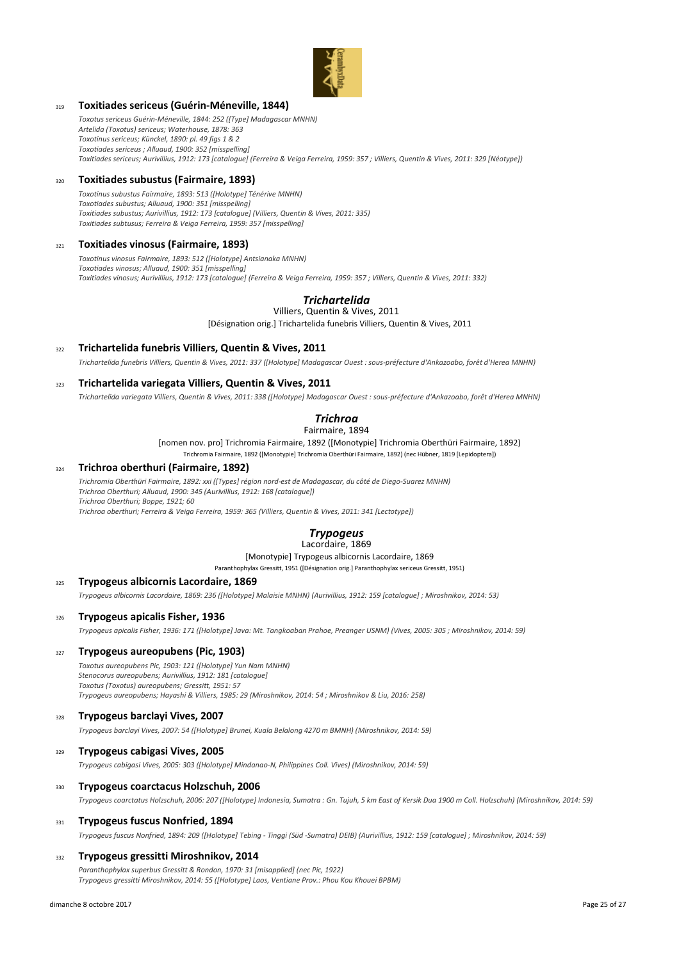

# <sup>319</sup> **Toxitiades sericeus (Guérin-Méneville, 1844)**

*Toxotus sericeus Guérin-Méneville, 1844: 252 ([Type] Madagascar MNHN) Artelida (Toxotus) sericeus; Waterhouse, 1878: 363 Toxotinus sericeus; Künckel, 1890: pl. 49 figs 1 & 2 Toxotiades sericeus ; Alluaud, 1900: 352 [misspelling] Toxitiades sericeus; Aurivillius, 1912: 173 [catalogue] (Ferreira & Veiga Ferreira, 1959: 357 ; Villiers, Quentin & Vives, 2011: 329 [Néotype])*

## <sup>320</sup> **Toxitiades subustus (Fairmaire, 1893)**

*Toxotinus subustus Fairmaire, 1893: 513 ([Holotype] Ténérive MNHN) Toxotiades subustus; Alluaud, 1900: 351 [misspelling] Toxitiades subustus; Aurivillius, 1912: 173 [catalogue] (Villiers, Quentin & Vives, 2011: 335) Toxitiades subtusus; Ferreira & Veiga Ferreira, 1959: 357 [misspelling]*

## <sup>321</sup> **Toxitiades vinosus (Fairmaire, 1893)**

*Toxotinus vinosus Fairmaire, 1893: 512 ([Holotype] Antsianaka MNHN) Toxotiades vinosus; Alluaud, 1900: 351 [misspelling] Toxitiades vinosus; Aurivillius, 1912: 173 [catalogue] (Ferreira & Veiga Ferreira, 1959: 357 ; Villiers, Quentin & Vives, 2011: 332)*

# *Trichartelida*

[Désignation orig.] Trichartelida funebris Villiers, Quentin & Vives, 2011 Villiers, Quentin & Vives, 2011

<sup>322</sup> **Trichartelida funebris Villiers, Quentin & Vives, 2011**

*Trichartelida funebris Villiers, Quentin & Vives, 2011: 337 ([Holotype] Madagascar Ouest : sous-préfecture d'Ankazoabo, forêt d'Herea MNHN)*

<sup>323</sup> **Trichartelida variegata Villiers, Quentin & Vives, 2011**

*Trichartelida variegata Villiers, Quentin & Vives, 2011: 338 ([Holotype] Madagascar Ouest : sous-préfecture d'Ankazoabo, forêt d'Herea MNHN)*

# *Trichroa*

[nomen nov. pro] Trichromia Fairmaire, 1892 ([Monotypie] Trichromia Oberthüri Fairmaire, 1892) Fairmaire, 1894

Trichromia Fairmaire, 1892 ([Monotypie] Trichromia Oberthüri Fairmaire, 1892) (nec Hübner, 1819 [Lepidoptera])

# <sup>324</sup> **Trichroa oberthuri (Fairmaire, 1892)**

*Trichromia Oberthüri Fairmaire, 1892: xxi ([Types] région nord-est de Madagascar, du côté de Diego-Suarez MNHN) Trichroa Oberthuri; Alluaud, 1900: 345 (Aurivillius, 1912: 168 [catalogue]) Trichroa Oberthuri; Boppe, 1921; 60 Trichroa oberthuri; Ferreira & Veiga Ferreira, 1959: 365 (Villiers, Quentin & Vives, 2011: 341 [Lectotype])*

# *Trypogeus*

# Lacordaire, 1869

[Monotypie] Trypogeus albicornis Lacordaire, 1869 Paranthophylax Gressitt, 1951 ([Désignation orig.] Paranthophylax sericeus Gressitt, 1951)

#### <sup>325</sup> **Trypogeus albicornis Lacordaire, 1869**

*Trypogeus albicornis Lacordaire, 1869: 236 ([Holotype] Malaisie MNHN) (Aurivillius, 1912: 159 [catalogue] ; Miroshnikov, 2014: 53)*

## <sup>326</sup> **Trypogeus apicalis Fisher, 1936**

*Trypogeus apicalis Fisher, 1936: 171 ([Holotype] Java: Mt. Tangkoaban Prahoe, Preanger USNM) (Vives, 2005: 305 ; Miroshnikov, 2014: 59)*

#### <sup>327</sup> **Trypogeus aureopubens (Pic, 1903)**

*Toxotus aureopubens Pic, 1903: 121 ([Holotype] Yun Nam MNHN) Stenocorus aureopubens; Aurivillius, 1912: 181 [catalogue] Toxotus (Toxotus) aureopubens; Gressitt, 1951: 57 Trypogeus aureopubens; Hayashi & Villiers, 1985: 29 (Miroshnikov, 2014: 54 ; Miroshnikov & Liu, 2016: 258)*

## <sup>328</sup> **Trypogeus barclayi Vives, 2007**

*Trypogeus barclayi Vives, 2007: 54 ([Holotype] Brunei, Kuala Belalong 4270 m BMNH) (Miroshnikov, 2014: 59)*

#### <sup>329</sup> **Trypogeus cabigasi Vives, 2005**

*Trypogeus cabigasi Vives, 2005: 303 ([Holotype] Mindanao-N, Philippines Coll. Vives) (Miroshnikov, 2014: 59)*

#### <sup>330</sup> **Trypogeus coarctacus Holzschuh, 2006**

*Trypogeus coarctatus Holzschuh, 2006: 207 ([Holotype] Indonesia, Sumatra : Gn. Tujuh, 5 km East of Kersik Dua 1900 m Coll. Holzschuh) (Miroshnikov, 2014: 59)*

#### <sup>331</sup> **Trypogeus fuscus Nonfried, 1894**

*Trypogeus fuscus Nonfried, 1894: 209 ([Holotype] Tebing - Tinggi (Süd -Sumatra) DEIB) (Aurivillius, 1912: 159 [catalogue] ; Miroshnikov, 2014: 59)*

#### <sup>332</sup> **Trypogeus gressitti Miroshnikov, 2014**

*Paranthophylax superbus Gressitt & Rondon, 1970: 31 [misapplied] (nec Pic, 1922) Trypogeus gressitti Miroshnikov, 2014: 55 ([Holotype] Laos, Ventiane Prov.: Phou Kou Khouei BPBM)*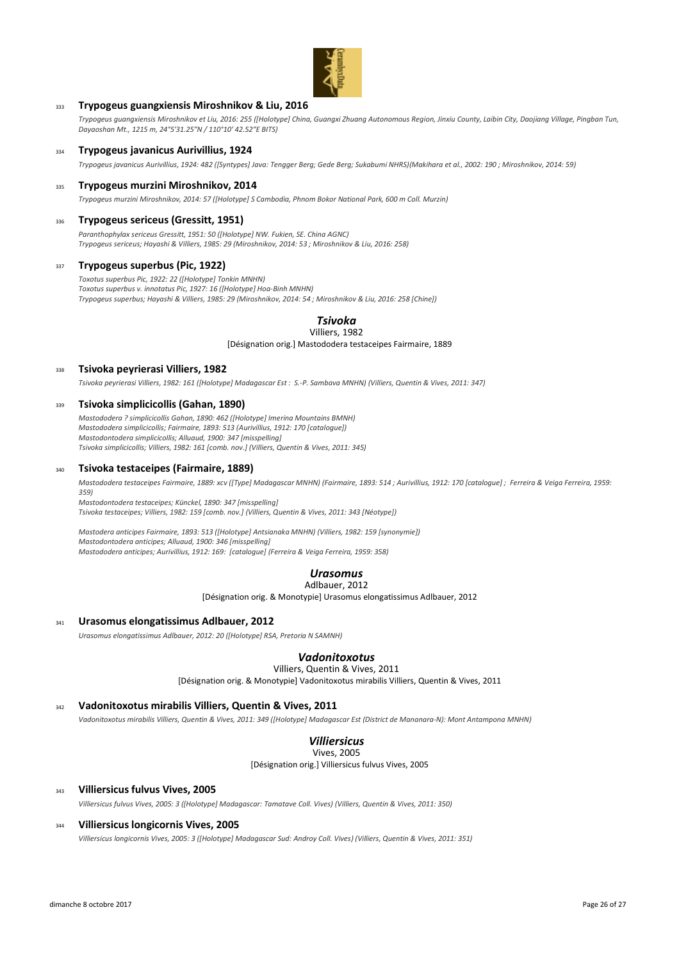

## <sup>333</sup> **Trypogeus guangxiensis Miroshnikov & Liu, 2016**

*Trypogeus guangxiensis Miroshnikov et Liu, 2016: 255 ([Holotype] China, Guangxi Zhuang Autonomous Region, Jinxiu County, Laibin City, Daojiang Village, Pingban Tun, Dayaoshan Mt., 1215 m, 24°5′31.25″N / 110°10′ 42.52″E BITS)*

#### <sup>334</sup> **Trypogeus javanicus Aurivillius, 1924**

*Trypogeus javanicus Aurivillius, 1924: 482 ([Syntypes] Java: Tengger Berg; Gede Berg; Sukabumi NHRS)(Makihara et al., 2002: 190 ; Miroshnikov, 2014: 59)*

#### <sup>335</sup> **Trypogeus murzini Miroshnikov, 2014**

*Trypogeus murzini Miroshnikov, 2014: 57 ([Holotype] S Cambodia, Phnom Bokor National Park, 600 m Coll. Murzin)*

#### <sup>336</sup> **Trypogeus sericeus (Gressitt, 1951)**

*Paranthophylax sericeus Gressitt, 1951: 50 ([Holotype] NW. Fukien, SE. China AGNC) Trypogeus sericeus; Hayashi & Villiers, 1985: 29 (Miroshnikov, 2014: 53 ; Miroshnikov & Liu, 2016: 258)*

#### <sup>337</sup> **Trypogeus superbus (Pic, 1922)**

*Toxotus superbus Pic, 1922: 22 ([Holotype] Tonkin MNHN) Toxotus superbus v. innotatus Pic, 1927: 16 ([Holotype] Hoa-Binh MNHN) Trypogeus superbus; Hayashi & Villiers, 1985: 29 (Miroshnikov, 2014: 54 ; Miroshnikov & Liu, 2016: 258 [Chine])*

#### *Tsivoka* Villiers, 1982

[Désignation orig.] Mastododera testaceipes Fairmaire, 1889

## <sup>338</sup> **Tsivoka peyrierasi Villiers, 1982**

*Tsivoka peyrierasi Villiers, 1982: 161 ([Holotype] Madagascar Est : S.-P. Sambava MNHN) (Villiers, Quentin & Vives, 2011: 347)*

#### <sup>339</sup> **Tsivoka simplicicollis (Gahan, 1890)**

*Mastododera ? simplicicollis Gahan, 1890: 462 ([Holotype] Imerina Mountains BMNH) Mastododera simplicicollis; Fairmaire, 1893: 513 (Aurivillius, 1912: 170 [catalogue]) Mastodontodera simplicicollis; Alluaud, 1900: 347 [misspelling] Tsivoka simplicicollis; Villiers, 1982: 161 [comb. nov.] (Villiers, Quentin & Vives, 2011: 345)*

#### <sup>340</sup> **Tsivoka testaceipes (Fairmaire, 1889)**

*Mastododera testaceipes Fairmaire, 1889: xcv ([Type] Madagascar MNHN) (Fairmaire, 1893: 514 ; Aurivillius, 1912: 170 [catalogue] ; Ferreira & Veiga Ferreira, 1959: 359)*

*Mastodontodera testaceipes; Künckel, 1890: 347 [misspelling] Tsivoka testaceipes; Villiers, 1982: 159 [comb. nov.] (Villiers, Quentin & Vives, 2011: 343 [Néotype])*

*Mastodera anticipes Fairmaire, 1893: 513 ([Holotype] Antsianaka MNHN) (Villiers, 1982: 159 [synonymie]) Mastodontodera anticipes; Alluaud, 1900: 346 [misspelling] Mastododera anticipes; Aurivillius, 1912: 169: [catalogue] (Ferreira & Veiga Ferreira, 1959: 358)*

# *Urasomus*

Adlbauer, 2012

[Désignation orig. & Monotypie] Urasomus elongatissimus Adlbauer, 2012

#### <sup>341</sup> **Urasomus elongatissimus Adlbauer, 2012**

*Urasomus elongatissimus Adlbauer, 2012: 20 ([Holotype] RSA, Pretoria N SAMNH)*

# *Vadonitoxotus*

Villiers, Quentin & Vives, 2011

[Désignation orig. & Monotypie] Vadonitoxotus mirabilis Villiers, Quentin & Vives, 2011

# <sup>342</sup> **Vadonitoxotus mirabilis Villiers, Quentin & Vives, 2011**

*Vadonitoxotus mirabilis Villiers, Quentin & Vives, 2011: 349 ([Holotype] Madagascar Est (District de Mananara-N): Mont Antampona MNHN)*

#### *Villiersicus* Vives, 2005

[Désignation orig.] Villiersicus fulvus Vives, 2005

#### <sup>343</sup> **Villiersicus fulvus Vives, 2005**

*Villiersicus fulvus Vives, 2005: 3 ([Holotype] Madagascar: Tamatave Coll. Vives) (Villiers, Quentin & Vives, 2011: 350)*

#### <sup>344</sup> **Villiersicus longicornis Vives, 2005**

*Villiersicus longicornis Vives, 2005: 3 ([Holotype] Madagascar Sud: Androy Coll. Vives) (Villiers, Quentin & Vives, 2011: 351)*